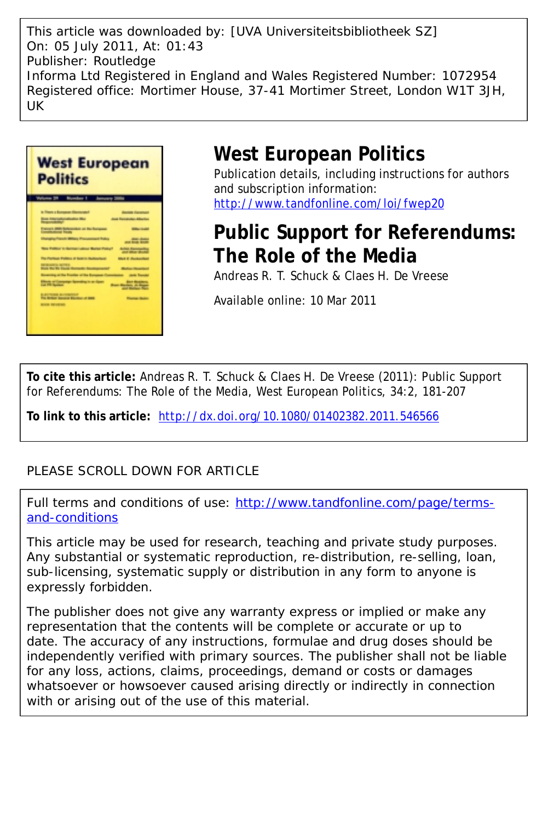This article was downloaded by: [UVA Universiteitsbibliotheek SZ] On: 05 July 2011, At: 01:43 Publisher: Routledge Informa Ltd Registered in England and Wales Registered Number: 1072954 Registered office: Mortimer House, 37-41 Mortimer Street, London W1T 3JH, UK



## **West European Politics**

Publication details, including instructions for authors and subscription information: <http://www.tandfonline.com/loi/fwep20>

## **Public Support for Referendums: The Role of the Media**

Andreas R. T. Schuck & Claes H. De Vreese

Available online: 10 Mar 2011

**To cite this article:** Andreas R. T. Schuck & Claes H. De Vreese (2011): Public Support for Referendums: The Role of the Media, West European Politics, 34:2, 181-207

**To link to this article:** <http://dx.doi.org/10.1080/01402382.2011.546566>

## PLEASE SCROLL DOWN FOR ARTICLE

Full terms and conditions of use: [http://www.tandfonline.com/page/terms](http://www.tandfonline.com/page/terms-and-conditions)[and-conditions](http://www.tandfonline.com/page/terms-and-conditions)

This article may be used for research, teaching and private study purposes. Any substantial or systematic reproduction, re-distribution, re-selling, loan, sub-licensing, systematic supply or distribution in any form to anyone is expressly forbidden.

The publisher does not give any warranty express or implied or make any representation that the contents will be complete or accurate or up to date. The accuracy of any instructions, formulae and drug doses should be independently verified with primary sources. The publisher shall not be liable for any loss, actions, claims, proceedings, demand or costs or damages whatsoever or howsoever caused arising directly or indirectly in connection with or arising out of the use of this material.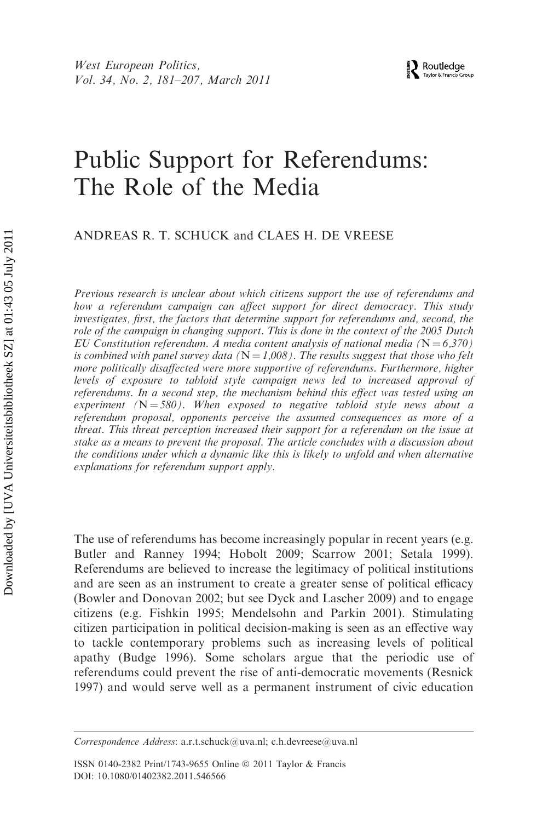# Public Support for Referendums: The Role of the Media

## ANDREAS R. T. SCHUCK and CLAES H. DE VREESE

Previous research is unclear about which citizens support the use of referendums and how a referendum campaign can affect support for direct democracy. This study investigates, first, the factors that determine support for referendums and, second, the role of the campaign in changing support. This is done in the context of the 2005 Dutch EU Constitution referendum. A media content analysis of national media ( $N = 6,370$ ) is combined with panel survey data ( $N = 1,008$ ). The results suggest that those who felt more politically disaffected were more supportive of referendums. Furthermore, higher levels of exposure to tabloid style campaign news led to increased approval of referendums. In a second step, the mechanism behind this effect was tested using an experiment  $(N = 580)$ . When exposed to negative tabloid style news about a referendum proposal, opponents perceive the assumed consequences as more of a threat. This threat perception increased their support for a referendum on the issue at stake as a means to prevent the proposal. The article concludes with a discussion about the conditions under which a dynamic like this is likely to unfold and when alternative explanations for referendum support apply.

The use of referendums has become increasingly popular in recent years (e.g. Butler and Ranney 1994; Hobolt 2009; Scarrow 2001; Setala 1999). Referendums are believed to increase the legitimacy of political institutions and are seen as an instrument to create a greater sense of political efficacy (Bowler and Donovan 2002; but see Dyck and Lascher 2009) and to engage citizens (e.g. Fishkin 1995; Mendelsohn and Parkin 2001). Stimulating citizen participation in political decision-making is seen as an effective way to tackle contemporary problems such as increasing levels of political apathy (Budge 1996). Some scholars argue that the periodic use of referendums could prevent the rise of anti-democratic movements (Resnick 1997) and would serve well as a permanent instrument of civic education

Correspondence Address: a.r.t.schuck@uva.nl; c.h.devreese@uva.nl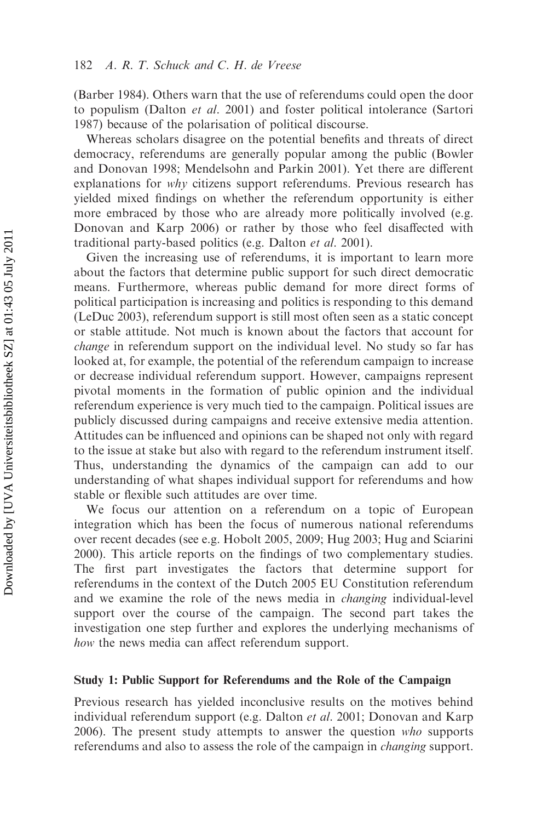(Barber 1984). Others warn that the use of referendums could open the door to populism (Dalton et al. 2001) and foster political intolerance (Sartori 1987) because of the polarisation of political discourse.

Whereas scholars disagree on the potential benefits and threats of direct democracy, referendums are generally popular among the public (Bowler and Donovan 1998; Mendelsohn and Parkin 2001). Yet there are different explanations for why citizens support referendums. Previous research has yielded mixed findings on whether the referendum opportunity is either more embraced by those who are already more politically involved (e.g. Donovan and Karp 2006) or rather by those who feel disaffected with traditional party-based politics (e.g. Dalton et al. 2001).

Given the increasing use of referendums, it is important to learn more about the factors that determine public support for such direct democratic means. Furthermore, whereas public demand for more direct forms of political participation is increasing and politics is responding to this demand (LeDuc 2003), referendum support is still most often seen as a static concept or stable attitude. Not much is known about the factors that account for change in referendum support on the individual level. No study so far has looked at, for example, the potential of the referendum campaign to increase or decrease individual referendum support. However, campaigns represent pivotal moments in the formation of public opinion and the individual referendum experience is very much tied to the campaign. Political issues are publicly discussed during campaigns and receive extensive media attention. Attitudes can be influenced and opinions can be shaped not only with regard to the issue at stake but also with regard to the referendum instrument itself. Thus, understanding the dynamics of the campaign can add to our understanding of what shapes individual support for referendums and how stable or flexible such attitudes are over time.

We focus our attention on a referendum on a topic of European integration which has been the focus of numerous national referendums over recent decades (see e.g. Hobolt 2005, 2009; Hug 2003; Hug and Sciarini 2000). This article reports on the findings of two complementary studies. The first part investigates the factors that determine support for referendums in the context of the Dutch 2005 EU Constitution referendum and we examine the role of the news media in changing individual-level support over the course of the campaign. The second part takes the investigation one step further and explores the underlying mechanisms of how the news media can affect referendum support.

#### Study 1: Public Support for Referendums and the Role of the Campaign

Previous research has yielded inconclusive results on the motives behind individual referendum support (e.g. Dalton et al. 2001; Donovan and Karp 2006). The present study attempts to answer the question who supports referendums and also to assess the role of the campaign in changing support.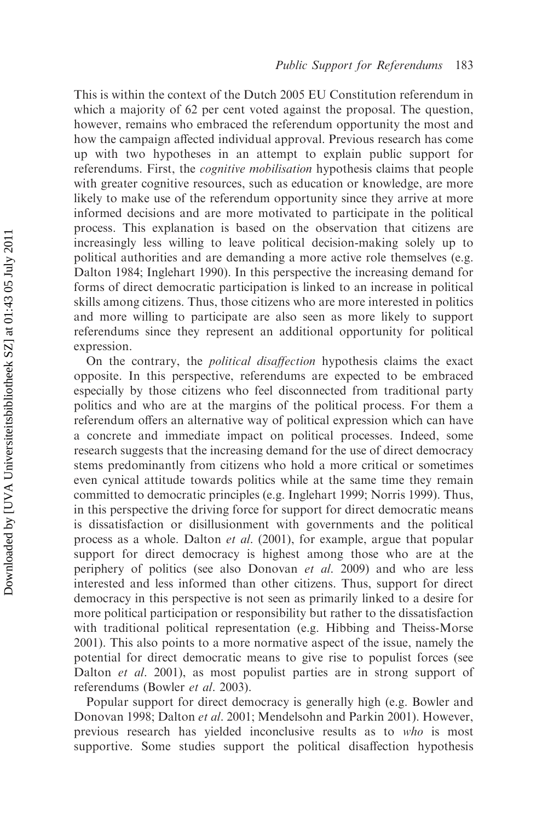This is within the context of the Dutch 2005 EU Constitution referendum in which a majority of 62 per cent voted against the proposal. The question, however, remains who embraced the referendum opportunity the most and how the campaign affected individual approval. Previous research has come up with two hypotheses in an attempt to explain public support for referendums. First, the cognitive mobilisation hypothesis claims that people with greater cognitive resources, such as education or knowledge, are more likely to make use of the referendum opportunity since they arrive at more informed decisions and are more motivated to participate in the political process. This explanation is based on the observation that citizens are increasingly less willing to leave political decision-making solely up to political authorities and are demanding a more active role themselves (e.g. Dalton 1984; Inglehart 1990). In this perspective the increasing demand for forms of direct democratic participation is linked to an increase in political skills among citizens. Thus, those citizens who are more interested in politics and more willing to participate are also seen as more likely to support referendums since they represent an additional opportunity for political expression.

On the contrary, the political disaffection hypothesis claims the exact opposite. In this perspective, referendums are expected to be embraced especially by those citizens who feel disconnected from traditional party politics and who are at the margins of the political process. For them a referendum offers an alternative way of political expression which can have a concrete and immediate impact on political processes. Indeed, some research suggests that the increasing demand for the use of direct democracy stems predominantly from citizens who hold a more critical or sometimes even cynical attitude towards politics while at the same time they remain committed to democratic principles (e.g. Inglehart 1999; Norris 1999). Thus, in this perspective the driving force for support for direct democratic means is dissatisfaction or disillusionment with governments and the political process as a whole. Dalton et al. (2001), for example, argue that popular support for direct democracy is highest among those who are at the periphery of politics (see also Donovan et al. 2009) and who are less interested and less informed than other citizens. Thus, support for direct democracy in this perspective is not seen as primarily linked to a desire for more political participation or responsibility but rather to the dissatisfaction with traditional political representation (e.g. Hibbing and Theiss-Morse 2001). This also points to a more normative aspect of the issue, namely the potential for direct democratic means to give rise to populist forces (see Dalton et al. 2001), as most populist parties are in strong support of referendums (Bowler et al. 2003).

Popular support for direct democracy is generally high (e.g. Bowler and Donovan 1998; Dalton et al. 2001; Mendelsohn and Parkin 2001). However, previous research has yielded inconclusive results as to who is most supportive. Some studies support the political disaffection hypothesis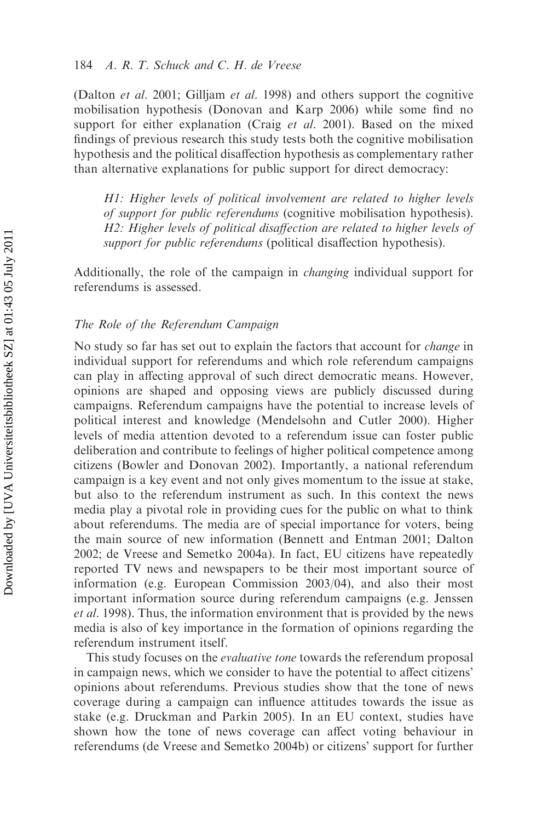(Dalton et al. 2001; Gilljam et al. 1998) and others support the cognitive mobilisation hypothesis (Donovan and Karp 2006) while some find no support for either explanation (Craig *et al.* 2001). Based on the mixed findings of previous research this study tests both the cognitive mobilisation hypothesis and the political disaffection hypothesis as complementary rather than alternative explanations for public support for direct democracy:

H1: Higher levels of political involvement are related to higher levels of support for public referendums (cognitive mobilisation hypothesis). H2: Higher levels of political disaffection are related to higher levels of support for public referendums (political disaffection hypothesis).

Additionally, the role of the campaign in changing individual support for referendums is assessed.

#### The Role of the Referendum Campaign

No study so far has set out to explain the factors that account for change in individual support for referendums and which role referendum campaigns can play in affecting approval of such direct democratic means. However, opinions are shaped and opposing views are publicly discussed during campaigns. Referendum campaigns have the potential to increase levels of political interest and knowledge (Mendelsohn and Cutler 2000). Higher levels of media attention devoted to a referendum issue can foster public deliberation and contribute to feelings of higher political competence among citizens (Bowler and Donovan 2002). Importantly, a national referendum campaign is a key event and not only gives momentum to the issue at stake, but also to the referendum instrument as such. In this context the news media play a pivotal role in providing cues for the public on what to think about referendums. The media are of special importance for voters, being the main source of new information (Bennett and Entman 2001; Dalton 2002; de Vreese and Semetko 2004a). In fact, EU citizens have repeatedly reported TV news and newspapers to be their most important source of information (e.g. European Commission 2003/04), and also their most important information source during referendum campaigns (e.g. Jenssen et al. 1998). Thus, the information environment that is provided by the news media is also of key importance in the formation of opinions regarding the referendum instrument itself.

This study focuses on the *evaluative tone* towards the referendum proposal in campaign news, which we consider to have the potential to affect citizens' opinions about referendums. Previous studies show that the tone of news coverage during a campaign can influence attitudes towards the issue as stake (e.g. Druckman and Parkin 2005). In an EU context, studies have shown how the tone of news coverage can affect voting behaviour in referendums (de Vreese and Semetko 2004b) or citizens' support for further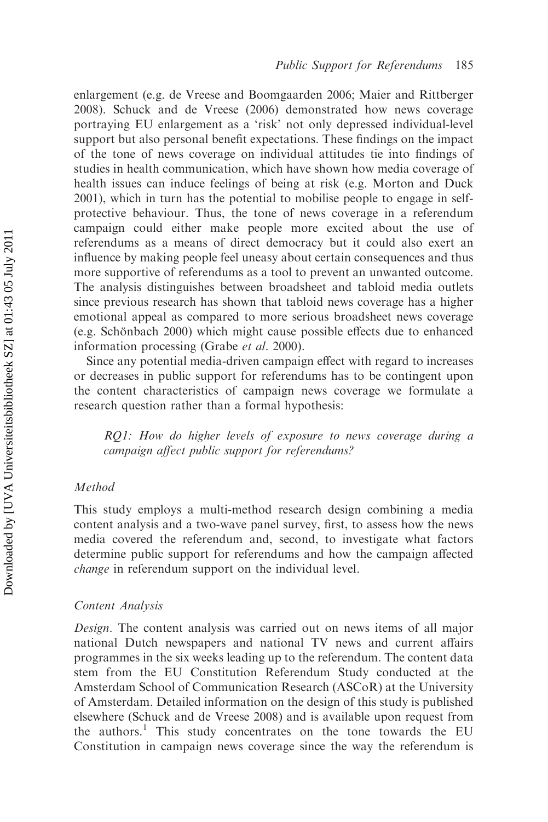enlargement (e.g. de Vreese and Boomgaarden 2006; Maier and Rittberger 2008). Schuck and de Vreese (2006) demonstrated how news coverage portraying EU enlargement as a 'risk' not only depressed individual-level support but also personal benefit expectations. These findings on the impact of the tone of news coverage on individual attitudes tie into findings of studies in health communication, which have shown how media coverage of health issues can induce feelings of being at risk (e.g. Morton and Duck 2001), which in turn has the potential to mobilise people to engage in selfprotective behaviour. Thus, the tone of news coverage in a referendum campaign could either make people more excited about the use of referendums as a means of direct democracy but it could also exert an influence by making people feel uneasy about certain consequences and thus more supportive of referendums as a tool to prevent an unwanted outcome. The analysis distinguishes between broadsheet and tabloid media outlets since previous research has shown that tabloid news coverage has a higher emotional appeal as compared to more serious broadsheet news coverage (e.g. Schönbach 2000) which might cause possible effects due to enhanced information processing (Grabe et al. 2000).

Since any potential media-driven campaign effect with regard to increases or decreases in public support for referendums has to be contingent upon the content characteristics of campaign news coverage we formulate a research question rather than a formal hypothesis:

RQ1: How do higher levels of exposure to news coverage during a campaign affect public support for referendums?

### Method

This study employs a multi-method research design combining a media content analysis and a two-wave panel survey, first, to assess how the news media covered the referendum and, second, to investigate what factors determine public support for referendums and how the campaign affected change in referendum support on the individual level.

### Content Analysis

Design. The content analysis was carried out on news items of all major national Dutch newspapers and national TV news and current affairs programmes in the six weeks leading up to the referendum. The content data stem from the EU Constitution Referendum Study conducted at the Amsterdam School of Communication Research (ASCoR) at the University of Amsterdam. Detailed information on the design of this study is published elsewhere (Schuck and de Vreese 2008) and is available upon request from the authors.<sup>1</sup> This study concentrates on the tone towards the EU Constitution in campaign news coverage since the way the referendum is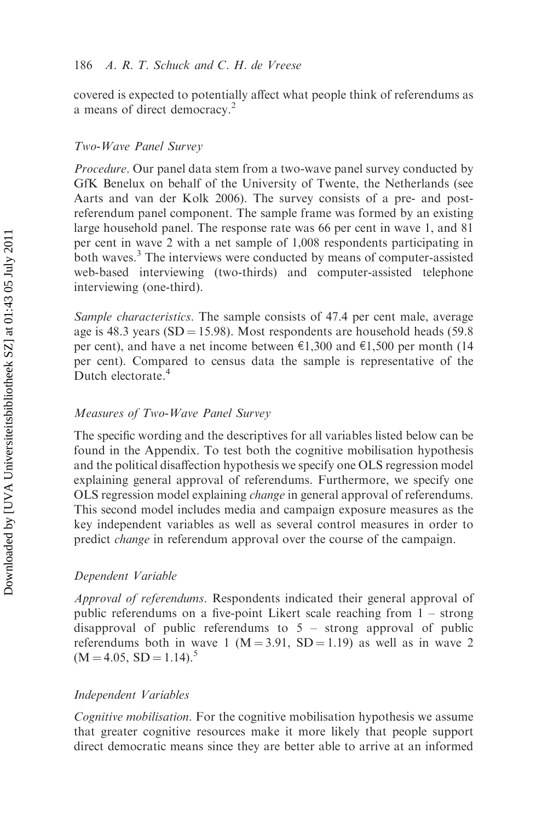covered is expected to potentially affect what people think of referendums as a means of direct democracy.<sup>2</sup>

### Two-Wave Panel Survey

Procedure. Our panel data stem from a two-wave panel survey conducted by GfK Benelux on behalf of the University of Twente, the Netherlands (see Aarts and van der Kolk 2006). The survey consists of a pre- and postreferendum panel component. The sample frame was formed by an existing large household panel. The response rate was 66 per cent in wave 1, and 81 per cent in wave 2 with a net sample of 1,008 respondents participating in both waves.<sup>3</sup> The interviews were conducted by means of computer-assisted web-based interviewing (two-thirds) and computer-assisted telephone interviewing (one-third).

Sample characteristics. The sample consists of 47.4 per cent male, average age is 48.3 years (SD = 15.98). Most respondents are household heads (59.8) per cent), and have a net income between  $\epsilon$ 1,300 and  $\epsilon$ 1,500 per month (14 per cent). Compared to census data the sample is representative of the Dutch electorate.<sup>4</sup>

## Measures of Two-Wave Panel Survey

The specific wording and the descriptives for all variables listed below can be found in the Appendix. To test both the cognitive mobilisation hypothesis and the political disaffection hypothesis we specify one OLS regression model explaining general approval of referendums. Furthermore, we specify one OLS regression model explaining change in general approval of referendums. This second model includes media and campaign exposure measures as the key independent variables as well as several control measures in order to predict *change* in referendum approval over the course of the campaign.

#### Dependent Variable

Approval of referendums. Respondents indicated their general approval of public referendums on a five-point Likert scale reaching from 1 – strong disapproval of public referendums to 5 – strong approval of public referendums both in wave 1 ( $M = 3.91$ ,  $SD = 1.19$ ) as well as in wave 2  $(M = 4.05, SD = 1.14).$ <sup>5</sup>

## Independent Variables

Cognitive mobilisation. For the cognitive mobilisation hypothesis we assume that greater cognitive resources make it more likely that people support direct democratic means since they are better able to arrive at an informed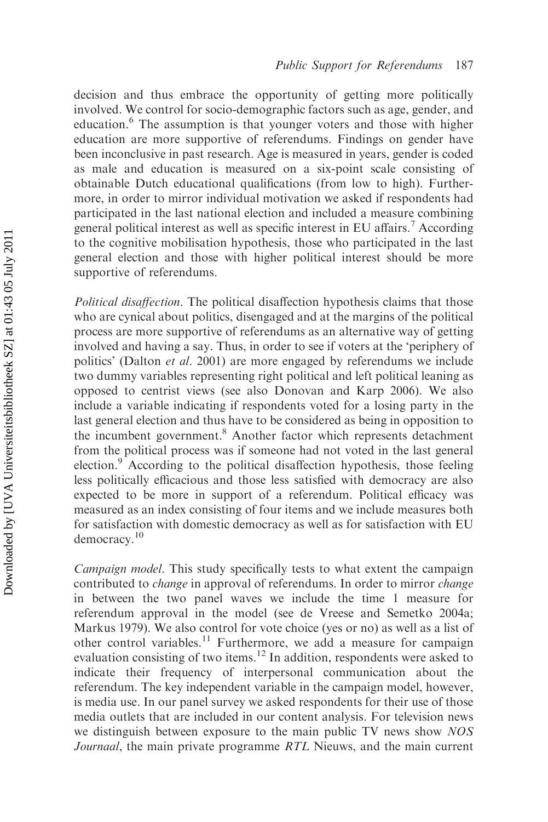decision and thus embrace the opportunity of getting more politically involved. We control for socio-demographic factors such as age, gender, and education.<sup>6</sup> The assumption is that younger voters and those with higher education are more supportive of referendums. Findings on gender have been inconclusive in past research. Age is measured in years, gender is coded as male and education is measured on a six-point scale consisting of obtainable Dutch educational qualifications (from low to high). Furthermore, in order to mirror individual motivation we asked if respondents had participated in the last national election and included a measure combining general political interest as well as specific interest in EU affairs.<sup>7</sup> According to the cognitive mobilisation hypothesis, those who participated in the last general election and those with higher political interest should be more supportive of referendums.

Political disaffection. The political disaffection hypothesis claims that those who are cynical about politics, disengaged and at the margins of the political process are more supportive of referendums as an alternative way of getting involved and having a say. Thus, in order to see if voters at the 'periphery of politics' (Dalton et al. 2001) are more engaged by referendums we include two dummy variables representing right political and left political leaning as opposed to centrist views (see also Donovan and Karp 2006). We also include a variable indicating if respondents voted for a losing party in the last general election and thus have to be considered as being in opposition to the incumbent government.<sup>8</sup> Another factor which represents detachment from the political process was if someone had not voted in the last general election.<sup>9</sup> According to the political disaffection hypothesis, those feeling less politically efficacious and those less satisfied with democracy are also expected to be more in support of a referendum. Political efficacy was measured as an index consisting of four items and we include measures both for satisfaction with domestic democracy as well as for satisfaction with EU democracy.<sup>10</sup>

Campaign model. This study specifically tests to what extent the campaign contributed to change in approval of referendums. In order to mirror change in between the two panel waves we include the time 1 measure for referendum approval in the model (see de Vreese and Semetko 2004a; Markus 1979). We also control for vote choice (yes or no) as well as a list of other control variables.<sup>11</sup> Furthermore, we add a measure for campaign evaluation consisting of two items.<sup>12</sup> In addition, respondents were asked to indicate their frequency of interpersonal communication about the referendum. The key independent variable in the campaign model, however, is media use. In our panel survey we asked respondents for their use of those media outlets that are included in our content analysis. For television news we distinguish between exposure to the main public TV news show NOS Journaal, the main private programme RTL Nieuws, and the main current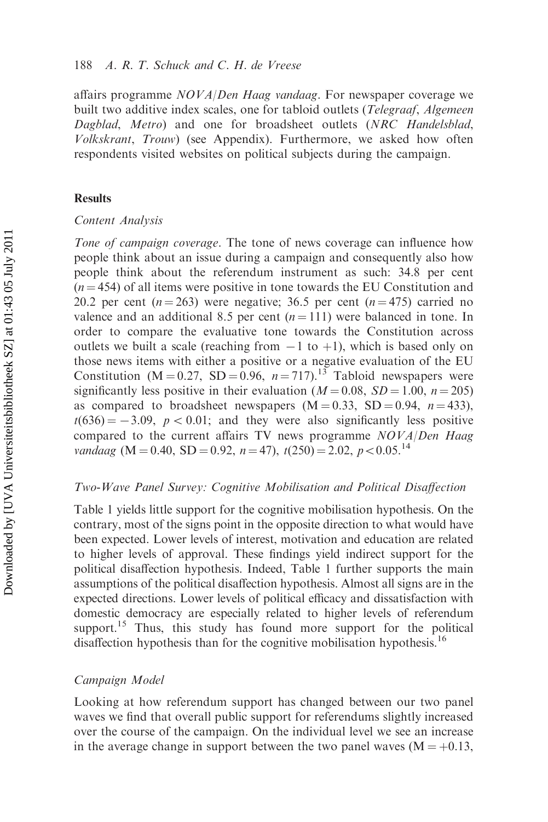affairs programme  $NOVA/Den$  Haag vandaag. For newspaper coverage we built two additive index scales, one for tabloid outlets (Telegraaf, Algemeen Dagblad, Metro) and one for broadsheet outlets (NRC Handelsblad, Volkskrant, Trouw) (see Appendix). Furthermore, we asked how often respondents visited websites on political subjects during the campaign.

#### Results

#### Content Analysis

Tone of campaign coverage. The tone of news coverage can influence how people think about an issue during a campaign and consequently also how people think about the referendum instrument as such: 34.8 per cent  $(n = 454)$  of all items were positive in tone towards the EU Constitution and 20.2 per cent ( $n = 263$ ) were negative; 36.5 per cent ( $n = 475$ ) carried no valence and an additional 8.5 per cent  $(n = 111)$  were balanced in tone. In order to compare the evaluative tone towards the Constitution across outlets we built a scale (reaching from  $-1$  to  $+1$ ), which is based only on those news items with either a positive or a negative evaluation of the EU Constitution (M = 0.27, SD = 0.96,  $n = 717$ ).<sup>13</sup> Tabloid newspapers were significantly less positive in their evaluation ( $M = 0.08$ ,  $SD = 1.00$ ,  $n = 205$ ) as compared to broadsheet newspapers  $(M = 0.33, SD = 0.94, n = 433)$ ,  $t(636) = -3.09$ ,  $p < 0.01$ ; and they were also significantly less positive compared to the current affairs TV news programme NOVA/Den Haag vandaag (M = 0.40, SD = 0.92, n = 47),  $t(250) = 2.02$ ,  $p < 0.05$ .<sup>14</sup>

### Two-Wave Panel Survey: Cognitive Mobilisation and Political Disaffection

Table 1 yields little support for the cognitive mobilisation hypothesis. On the contrary, most of the signs point in the opposite direction to what would have been expected. Lower levels of interest, motivation and education are related to higher levels of approval. These findings yield indirect support for the political disaffection hypothesis. Indeed, Table 1 further supports the main assumptions of the political disaffection hypothesis. Almost all signs are in the expected directions. Lower levels of political efficacy and dissatisfaction with domestic democracy are especially related to higher levels of referendum support.<sup>15</sup> Thus, this study has found more support for the political disaffection hypothesis than for the cognitive mobilisation hypothesis.<sup>16</sup>

#### Campaign Model

Looking at how referendum support has changed between our two panel waves we find that overall public support for referendums slightly increased over the course of the campaign. On the individual level we see an increase in the average change in support between the two panel waves  $(M = +0.13,$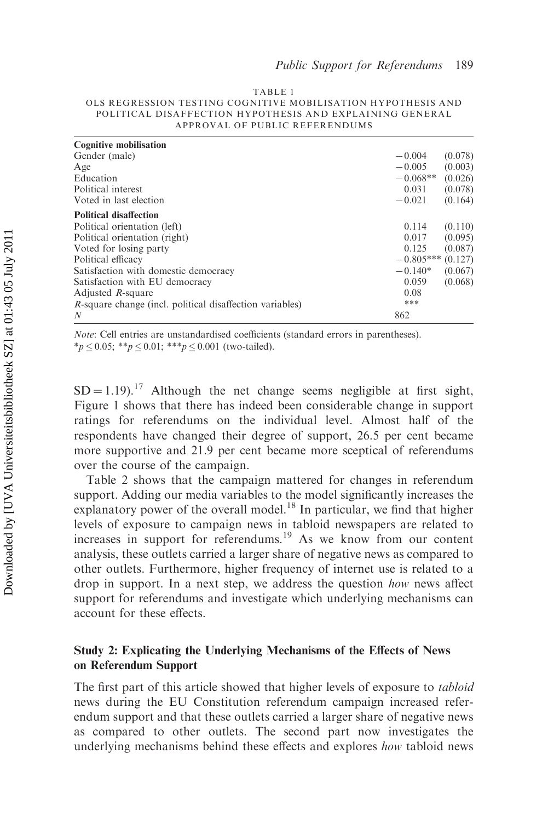|--|--|

| <b>Cognitive mobilisation</b>                                    |             |         |
|------------------------------------------------------------------|-------------|---------|
| Gender (male)                                                    | $-0.004$    | (0.078) |
| Age                                                              | $-0.005$    | (0.003) |
| Education                                                        | $-0.068**$  | (0.026) |
| Political interest                                               | 0.031       | (0.078) |
| Voted in last election                                           | $-0.021$    | (0.164) |
| <b>Political disaffection</b>                                    |             |         |
| Political orientation (left)                                     | 0.114       | (0.110) |
| Political orientation (right)                                    | 0.017       | (0.095) |
| Voted for losing party                                           | 0.125       | (0.087) |
| Political efficacy                                               | $-0.805***$ | (0.127) |
| Satisfaction with domestic democracy                             | $-0.140*$   | (0.067) |
| Satisfaction with EU democracy                                   | 0.059       | (0.068) |
| Adjusted R-square                                                | 0.08        |         |
| <i>R</i> -square change (incl. political disaffection variables) | ***         |         |
| N                                                                | 862         |         |

OLS REGRESSION TESTING COGNITIVE MOBILISATION HYPOTHESIS AND POLITICAL DISAFFECTION HYPOTHESIS AND EXPLAINING GENERAL APPROVAL OF PUBLIC REFERENDUMS

Note: Cell entries are unstandardised coefficients (standard errors in parentheses).  $*_p \leq 0.05; **p \leq 0.01; ***p \leq 0.001$  (two-tailed).

 $SD = 1.19$ .<sup>17</sup> Although the net change seems negligible at first sight, Figure 1 shows that there has indeed been considerable change in support ratings for referendums on the individual level. Almost half of the respondents have changed their degree of support, 26.5 per cent became more supportive and 21.9 per cent became more sceptical of referendums over the course of the campaign.

Table 2 shows that the campaign mattered for changes in referendum support. Adding our media variables to the model significantly increases the explanatory power of the overall model.<sup>18</sup> In particular, we find that higher levels of exposure to campaign news in tabloid newspapers are related to increases in support for referendums.<sup>19</sup> As we know from our content analysis, these outlets carried a larger share of negative news as compared to other outlets. Furthermore, higher frequency of internet use is related to a drop in support. In a next step, we address the question how news affect support for referendums and investigate which underlying mechanisms can account for these effects.

### Study 2: Explicating the Underlying Mechanisms of the Effects of News on Referendum Support

The first part of this article showed that higher levels of exposure to tabloid news during the EU Constitution referendum campaign increased referendum support and that these outlets carried a larger share of negative news as compared to other outlets. The second part now investigates the underlying mechanisms behind these effects and explores how tabloid news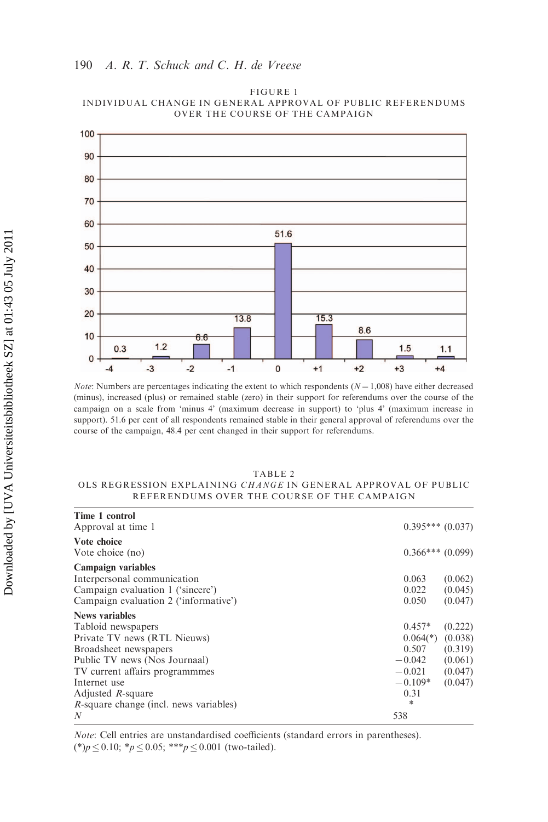

FIGURE 1 INDIVIDUAL CHANGE IN GENERAL APPROVAL OF PUBLIC REFERENDUMS OVER THE COURSE OF THE CAMPAIGN

*Note:* Numbers are percentages indicating the extent to which respondents  $(N = 1,008)$  have either decreased (minus), increased (plus) or remained stable (zero) in their support for referendums over the course of the campaign on a scale from 'minus 4' (maximum decrease in support) to 'plus 4' (maximum increase in support). 51.6 per cent of all respondents remained stable in their general approval of referendums over the course of the campaign, 48.4 per cent changed in their support for referendums.

| TABLE 2                                                               |
|-----------------------------------------------------------------------|
| OLS REGRESSION EXPLAINING <i>Change</i> in General Approval of Public |
| REFERENDUMS OVER THE COURSE OF THE CAMPAIGN                           |

| Time 1 control                                 | $0.395***(0.037)$ |         |
|------------------------------------------------|-------------------|---------|
| Approval at time 1                             |                   |         |
| Vote choice                                    |                   |         |
| Vote choice (no)                               | $0.366***(0.099)$ |         |
| Campaign variables                             |                   |         |
| Interpersonal communication                    | 0.063             | (0.062) |
| Campaign evaluation 1 ('sincere')              | 0.022             | (0.045) |
| Campaign evaluation 2 ('informative')          | 0.050             | (0.047) |
| News variables                                 |                   |         |
| Tabloid newspapers                             | $0.457*$          | (0.222) |
| Private TV news (RTL Nieuws)                   | $0.064(*)$        | (0.038) |
| Broadsheet newspapers                          | 0.507             | (0.319) |
| Public TV news (Nos Journaal)                  | $-0.042$          | (0.061) |
| TV current affairs programmmes                 | $-0.021$          | (0.047) |
| Internet use                                   | $-0.109*$         | (0.047) |
| Adjusted R-square                              | 0.31              |         |
| <i>R</i> -square change (incl. news variables) | *                 |         |
| N                                              | 538               |         |

Note: Cell entries are unstandardised coefficients (standard errors in parentheses).  $(*p \le 0.10; *p \le 0.05; ***p \le 0.001$  (two-tailed).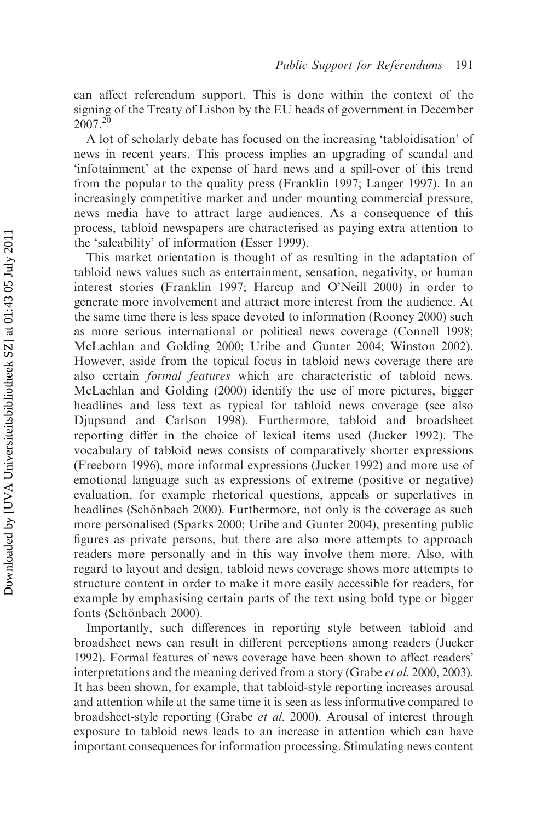can affect referendum support. This is done within the context of the signing of the Treaty of Lisbon by the EU heads of government in December  $2007^{20}$ 

A lot of scholarly debate has focused on the increasing 'tabloidisation' of news in recent years. This process implies an upgrading of scandal and 'infotainment' at the expense of hard news and a spill-over of this trend from the popular to the quality press (Franklin 1997; Langer 1997). In an increasingly competitive market and under mounting commercial pressure, news media have to attract large audiences. As a consequence of this process, tabloid newspapers are characterised as paying extra attention to the 'saleability' of information (Esser 1999).

This market orientation is thought of as resulting in the adaptation of tabloid news values such as entertainment, sensation, negativity, or human interest stories (Franklin 1997; Harcup and O'Neill 2000) in order to generate more involvement and attract more interest from the audience. At the same time there is less space devoted to information (Rooney 2000) such as more serious international or political news coverage (Connell 1998; McLachlan and Golding 2000; Uribe and Gunter 2004; Winston 2002). However, aside from the topical focus in tabloid news coverage there are also certain formal features which are characteristic of tabloid news. McLachlan and Golding (2000) identify the use of more pictures, bigger headlines and less text as typical for tabloid news coverage (see also Djupsund and Carlson 1998). Furthermore, tabloid and broadsheet reporting differ in the choice of lexical items used (Jucker 1992). The vocabulary of tabloid news consists of comparatively shorter expressions (Freeborn 1996), more informal expressions (Jucker 1992) and more use of emotional language such as expressions of extreme (positive or negative) evaluation, for example rhetorical questions, appeals or superlatives in headlines (Schönbach 2000). Furthermore, not only is the coverage as such more personalised (Sparks 2000; Uribe and Gunter 2004), presenting public figures as private persons, but there are also more attempts to approach readers more personally and in this way involve them more. Also, with regard to layout and design, tabloid news coverage shows more attempts to structure content in order to make it more easily accessible for readers, for example by emphasising certain parts of the text using bold type or bigger fonts (Schönbach 2000).

Importantly, such differences in reporting style between tabloid and broadsheet news can result in different perceptions among readers (Jucker 1992). Formal features of news coverage have been shown to affect readers' interpretations and the meaning derived from a story (Grabe et al. 2000, 2003). It has been shown, for example, that tabloid-style reporting increases arousal and attention while at the same time it is seen as less informative compared to broadsheet-style reporting (Grabe et al. 2000). Arousal of interest through exposure to tabloid news leads to an increase in attention which can have important consequences for information processing. Stimulating news content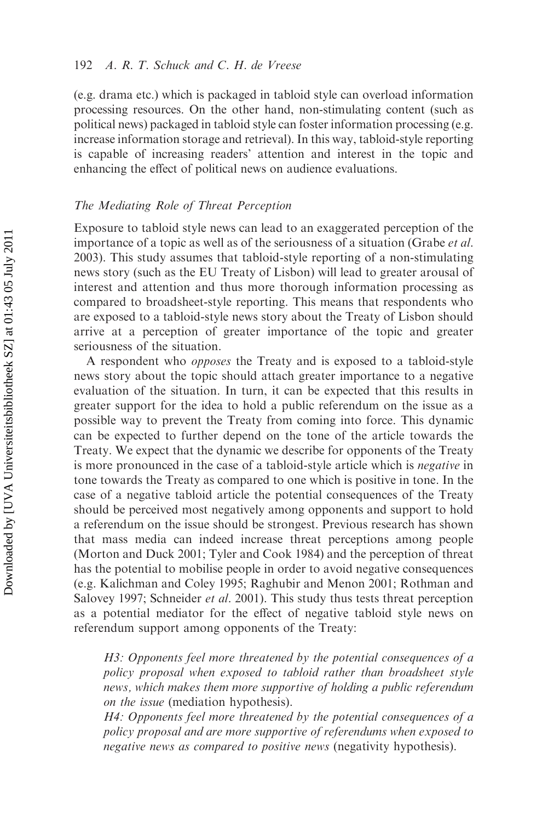(e.g. drama etc.) which is packaged in tabloid style can overload information processing resources. On the other hand, non-stimulating content (such as political news) packaged in tabloid style can foster information processing (e.g. increase information storage and retrieval). In this way, tabloid-style reporting is capable of increasing readers' attention and interest in the topic and enhancing the effect of political news on audience evaluations.

### The Mediating Role of Threat Perception

Exposure to tabloid style news can lead to an exaggerated perception of the importance of a topic as well as of the seriousness of a situation (Grabe et al. 2003). This study assumes that tabloid-style reporting of a non-stimulating news story (such as the EU Treaty of Lisbon) will lead to greater arousal of interest and attention and thus more thorough information processing as compared to broadsheet-style reporting. This means that respondents who are exposed to a tabloid-style news story about the Treaty of Lisbon should arrive at a perception of greater importance of the topic and greater seriousness of the situation.

A respondent who opposes the Treaty and is exposed to a tabloid-style news story about the topic should attach greater importance to a negative evaluation of the situation. In turn, it can be expected that this results in greater support for the idea to hold a public referendum on the issue as a possible way to prevent the Treaty from coming into force. This dynamic can be expected to further depend on the tone of the article towards the Treaty. We expect that the dynamic we describe for opponents of the Treaty is more pronounced in the case of a tabloid-style article which is negative in tone towards the Treaty as compared to one which is positive in tone. In the case of a negative tabloid article the potential consequences of the Treaty should be perceived most negatively among opponents and support to hold a referendum on the issue should be strongest. Previous research has shown that mass media can indeed increase threat perceptions among people (Morton and Duck 2001; Tyler and Cook 1984) and the perception of threat has the potential to mobilise people in order to avoid negative consequences (e.g. Kalichman and Coley 1995; Raghubir and Menon 2001; Rothman and Salovey 1997; Schneider et al. 2001). This study thus tests threat perception as a potential mediator for the effect of negative tabloid style news on referendum support among opponents of the Treaty:

H3: Opponents feel more threatened by the potential consequences of a policy proposal when exposed to tabloid rather than broadsheet style news, which makes them more supportive of holding a public referendum on the issue (mediation hypothesis).

H4: Opponents feel more threatened by the potential consequences of a policy proposal and are more supportive of referendums when exposed to negative news as compared to positive news (negativity hypothesis).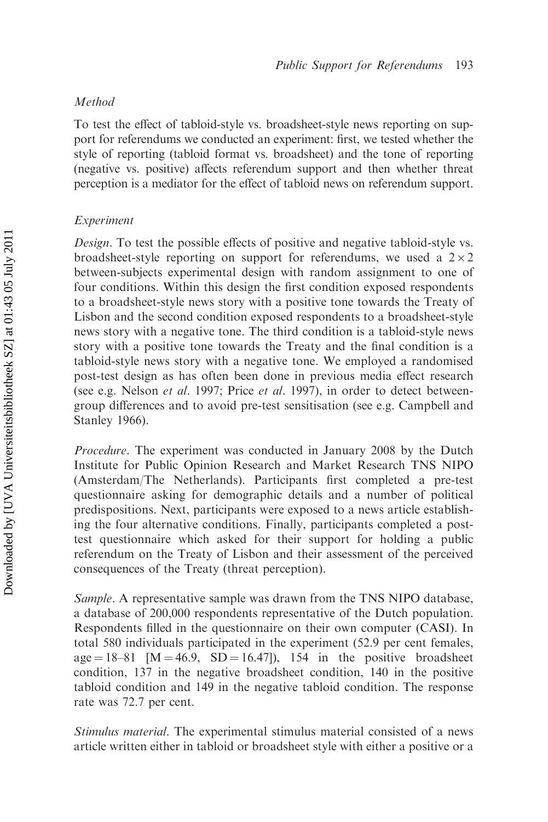## Method

To test the effect of tabloid-style vs. broadsheet-style news reporting on support for referendums we conducted an experiment: first, we tested whether the style of reporting (tabloid format vs. broadsheet) and the tone of reporting (negative vs. positive) affects referendum support and then whether threat perception is a mediator for the effect of tabloid news on referendum support.

## Experiment

Design. To test the possible effects of positive and negative tabloid-style vs. broadsheet-style reporting on support for referendums, we used a  $2\times2$ between-subjects experimental design with random assignment to one of four conditions. Within this design the first condition exposed respondents to a broadsheet-style news story with a positive tone towards the Treaty of Lisbon and the second condition exposed respondents to a broadsheet-style news story with a negative tone. The third condition is a tabloid-style news story with a positive tone towards the Treaty and the final condition is a tabloid-style news story with a negative tone. We employed a randomised post-test design as has often been done in previous media effect research (see e.g. Nelson et al. 1997; Price et al. 1997), in order to detect betweengroup differences and to avoid pre-test sensitisation (see e.g. Campbell and Stanley 1966).

Procedure. The experiment was conducted in January 2008 by the Dutch Institute for Public Opinion Research and Market Research TNS NIPO (Amsterdam/The Netherlands). Participants first completed a pre-test questionnaire asking for demographic details and a number of political predispositions. Next, participants were exposed to a news article establishing the four alternative conditions. Finally, participants completed a posttest questionnaire which asked for their support for holding a public referendum on the Treaty of Lisbon and their assessment of the perceived consequences of the Treaty (threat perception).

Sample. A representative sample was drawn from the TNS NIPO database, a database of 200,000 respondents representative of the Dutch population. Respondents filled in the questionnaire on their own computer (CASI). In total 580 individuals participated in the experiment (52.9 per cent females,  $age = 18–81$  [M = 46.9, SD = 16.47]), 154 in the positive broadsheet condition, 137 in the negative broadsheet condition, 140 in the positive tabloid condition and 149 in the negative tabloid condition. The response rate was 72.7 per cent.

Stimulus material. The experimental stimulus material consisted of a news article written either in tabloid or broadsheet style with either a positive or a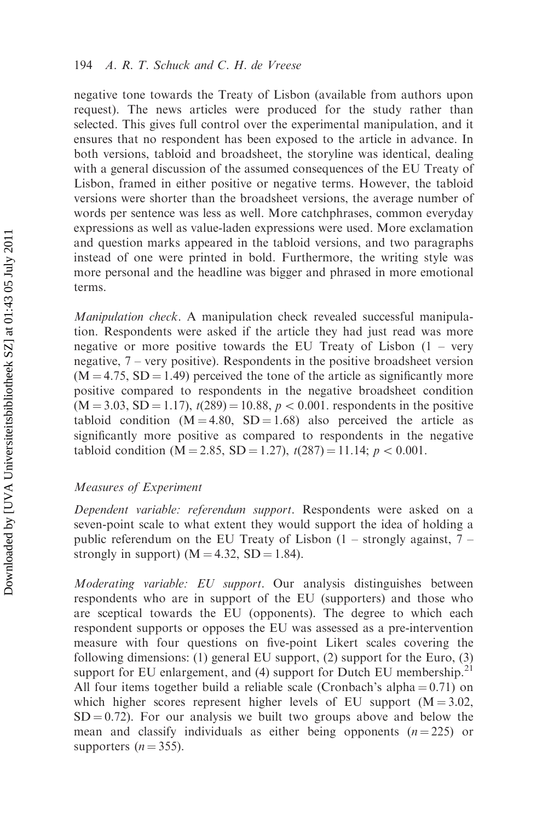negative tone towards the Treaty of Lisbon (available from authors upon request). The news articles were produced for the study rather than selected. This gives full control over the experimental manipulation, and it ensures that no respondent has been exposed to the article in advance. In both versions, tabloid and broadsheet, the storyline was identical, dealing with a general discussion of the assumed consequences of the EU Treaty of Lisbon, framed in either positive or negative terms. However, the tabloid versions were shorter than the broadsheet versions, the average number of words per sentence was less as well. More catchphrases, common everyday expressions as well as value-laden expressions were used. More exclamation and question marks appeared in the tabloid versions, and two paragraphs instead of one were printed in bold. Furthermore, the writing style was more personal and the headline was bigger and phrased in more emotional terms.

Manipulation check. A manipulation check revealed successful manipulation. Respondents were asked if the article they had just read was more negative or more positive towards the EU Treaty of Lisbon  $(1 - \text{very})$ negative, 7 – very positive). Respondents in the positive broadsheet version  $(M = 4.75, SD = 1.49)$  perceived the tone of the article as significantly more positive compared to respondents in the negative broadsheet condition  $(M = 3.03, SD = 1.17), t(289) = 10.88, p < 0.001$ . respondents in the positive tabloid condition  $(M = 4.80, SD = 1.68)$  also perceived the article as significantly more positive as compared to respondents in the negative tabloid condition (M = 2.85, SD = 1.27),  $t(287) = 11.14$ ;  $p < 0.001$ .

## Measures of Experiment

Dependent variable: referendum support. Respondents were asked on a seven-point scale to what extent they would support the idea of holding a public referendum on the EU Treaty of Lisbon  $(1 -$  strongly against,  $7$ strongly in support) ( $M = 4.32$ , SD = 1.84).

Moderating variable: EU support. Our analysis distinguishes between respondents who are in support of the EU (supporters) and those who are sceptical towards the EU (opponents). The degree to which each respondent supports or opposes the EU was assessed as a pre-intervention measure with four questions on five-point Likert scales covering the following dimensions: (1) general EU support, (2) support for the Euro, (3) support for EU enlargement, and  $(4)$  support for Dutch EU membership.<sup>21</sup> All four items together build a reliable scale (Cronbach's alpha  $= 0.71$ ) on which higher scores represent higher levels of EU support  $(M = 3.02$ ,  $SD = 0.72$ ). For our analysis we built two groups above and below the mean and classify individuals as either being opponents  $(n = 225)$  or supporters  $(n = 355)$ .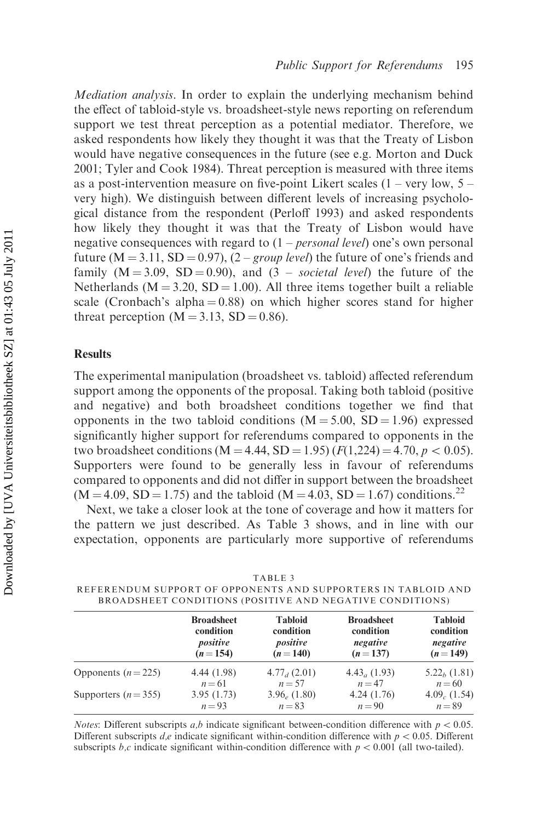Mediation analysis. In order to explain the underlying mechanism behind the effect of tabloid-style vs. broadsheet-style news reporting on referendum support we test threat perception as a potential mediator. Therefore, we asked respondents how likely they thought it was that the Treaty of Lisbon would have negative consequences in the future (see e.g. Morton and Duck 2001; Tyler and Cook 1984). Threat perception is measured with three items as a post-intervention measure on five-point Likert scales  $(1 - \text{very low}, 5 - \text{...})$ very high). We distinguish between different levels of increasing psychological distance from the respondent (Perloff 1993) and asked respondents how likely they thought it was that the Treaty of Lisbon would have negative consequences with regard to  $(1 - personal level)$  one's own personal future ( $M = 3.11$ ,  $SD = 0.97$ ), (2 – group level) the future of one's friends and family  $(M = 3.09, SD = 0.90)$ , and  $(3 - \text{social level})$  the future of the Netherlands ( $M = 3.20$ ,  $SD = 1.00$ ). All three items together built a reliable scale (Cronbach's alpha  $= 0.88$ ) on which higher scores stand for higher threat perception ( $M = 3.13$ ,  $SD = 0.86$ ).

#### Results

The experimental manipulation (broadsheet vs. tabloid) affected referendum support among the opponents of the proposal. Taking both tabloid (positive and negative) and both broadsheet conditions together we find that opponents in the two tabloid conditions  $(M = 5.00, SD = 1.96)$  expressed significantly higher support for referendums compared to opponents in the two broadsheet conditions (M = 4.44, SD = 1.95) ( $F(1,224) = 4.70, p < 0.05$ ). Supporters were found to be generally less in favour of referendums compared to opponents and did not differ in support between the broadsheet  $(M = 4.09, SD = 1.75)$  and the tabloid  $(M = 4.03, SD = 1.67)$  conditions.<sup>22</sup>

Next, we take a closer look at the tone of coverage and how it matters for the pattern we just described. As Table 3 shows, and in line with our expectation, opponents are particularly more supportive of referendums

|                      | <b>Broadsheet</b> | <b>Tabloid</b>    | <b>Broadsheet</b> | <b>Tabloid</b> |
|----------------------|-------------------|-------------------|-------------------|----------------|
|                      | condition         | condition         | condition         | condition      |
|                      | positive          | positive          | negative          | negative       |
|                      | $(n=154)$         | $(n=140)$         | $(n=137)$         | $(n=149)$      |
| Opponents $(n=225)$  | 4.44 (1.98)       | $4.77d$ (2.01)    | $4.43_{a} (1.93)$ | $5.22b$ (1.81) |
|                      | $n=61$            | $n = 57$          | $n = 47$          | $n = 60$       |
| Supporters $(n=355)$ | 3.95(1.73)        | $3.96_{e}$ (1.80) | 4.24(1.76)        | $4.09_c(1.54)$ |
|                      | $n = 93$          | $n = 83$          | $n = 90$          | $n = 89$       |

TABLE 3 REFERENDUM SUPPORT OF OPPONENTS AND SUPPORTERS IN TABLOID AND BROADSHEET CONDITIONS (POSITIVE AND NEGATIVE CONDITIONS)

*Notes*: Different subscripts a,b indicate significant between-condition difference with  $p < 0.05$ . Different subscripts  $d,e$  indicate significant within-condition difference with  $p < 0.05$ . Different subscripts  $b,c$  indicate significant within-condition difference with  $p < 0.001$  (all two-tailed).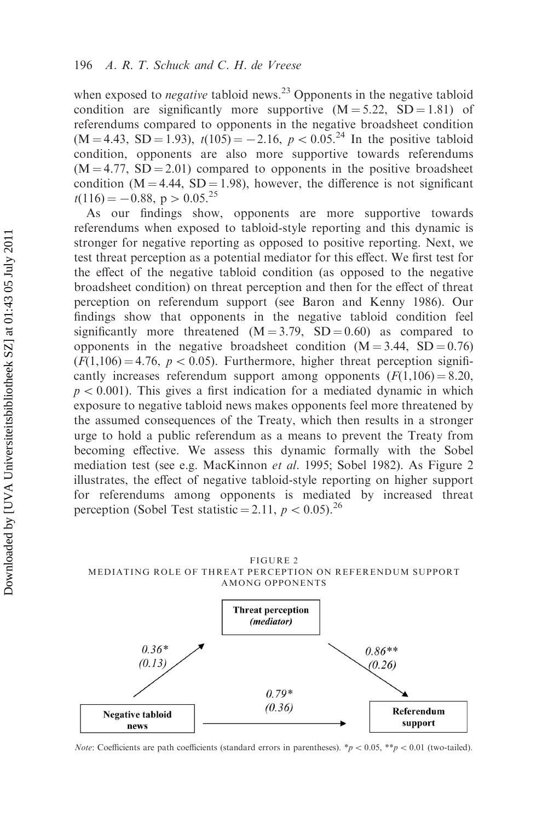when exposed to *negative* tabloid news.<sup>23</sup> Opponents in the negative tabloid condition are significantly more supportive  $(M = 5.22, SD = 1.81)$  of referendums compared to opponents in the negative broadsheet condition  $(M = 4.43, SD = 1.93), t(105) = -2.16, p < 0.05<sup>24</sup>$  In the positive tabloid condition, opponents are also more supportive towards referendums  $(M = 4.77, SD = 2.01)$  compared to opponents in the positive broadsheet condition ( $M = 4.44$ ,  $SD = 1.98$ ), however, the difference is not significant  $t(116) = -0.88$ , p > 0.05.<sup>25</sup>

As our findings show, opponents are more supportive towards referendums when exposed to tabloid-style reporting and this dynamic is stronger for negative reporting as opposed to positive reporting. Next, we test threat perception as a potential mediator for this effect. We first test for the effect of the negative tabloid condition (as opposed to the negative broadsheet condition) on threat perception and then for the effect of threat perception on referendum support (see Baron and Kenny 1986). Our findings show that opponents in the negative tabloid condition feel significantly more threatened  $(M = 3.79, SD = 0.60)$  as compared to opponents in the negative broadsheet condition  $(M = 3.44, SD = 0.76)$  $(F(1,106) = 4.76, p < 0.05)$ . Furthermore, higher threat perception significantly increases referendum support among opponents  $(F(1,106) = 8.20,$  $p < 0.001$ ). This gives a first indication for a mediated dynamic in which exposure to negative tabloid news makes opponents feel more threatened by the assumed consequences of the Treaty, which then results in a stronger urge to hold a public referendum as a means to prevent the Treaty from becoming effective. We assess this dynamic formally with the Sobel mediation test (see e.g. MacKinnon et al. 1995; Sobel 1982). As Figure 2 illustrates, the effect of negative tabloid-style reporting on higher support for referendums among opponents is mediated by increased threat perception (Sobel Test statistic = 2.11,  $p < 0.05$ ).<sup>26</sup>

FIGURE 2 MEDIATING ROLE OF THREAT PERCEPTION ON REFERENDUM SUPPORT AMONG OPPONENTS



*Note:* Coefficients are path coefficients (standard errors in parentheses). \*p < 0.05, \*\*p < 0.01 (two-tailed).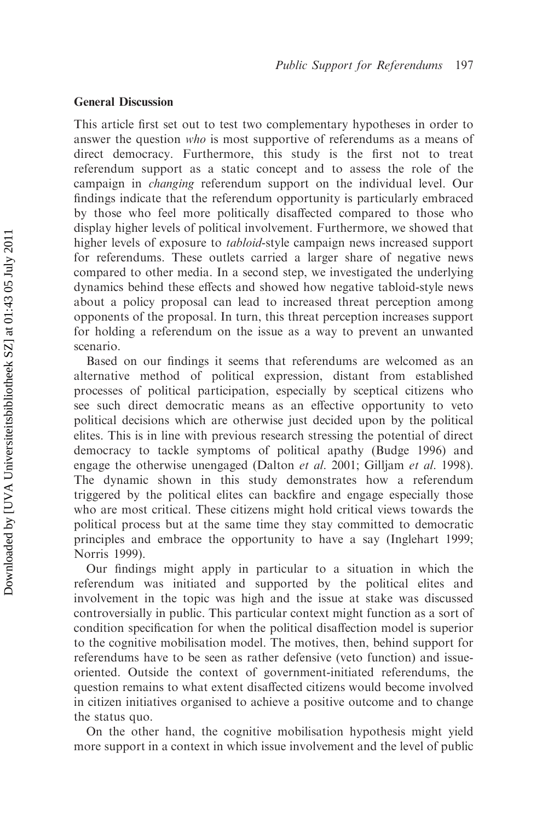#### General Discussion

This article first set out to test two complementary hypotheses in order to answer the question who is most supportive of referendums as a means of direct democracy. Furthermore, this study is the first not to treat referendum support as a static concept and to assess the role of the campaign in changing referendum support on the individual level. Our findings indicate that the referendum opportunity is particularly embraced by those who feel more politically disaffected compared to those who display higher levels of political involvement. Furthermore, we showed that higher levels of exposure to *tabloid*-style campaign news increased support for referendums. These outlets carried a larger share of negative news compared to other media. In a second step, we investigated the underlying dynamics behind these effects and showed how negative tabloid-style news about a policy proposal can lead to increased threat perception among opponents of the proposal. In turn, this threat perception increases support for holding a referendum on the issue as a way to prevent an unwanted scenario.

Based on our findings it seems that referendums are welcomed as an alternative method of political expression, distant from established processes of political participation, especially by sceptical citizens who see such direct democratic means as an effective opportunity to veto political decisions which are otherwise just decided upon by the political elites. This is in line with previous research stressing the potential of direct democracy to tackle symptoms of political apathy (Budge 1996) and engage the otherwise unengaged (Dalton et al. 2001; Gilljam et al. 1998). The dynamic shown in this study demonstrates how a referendum triggered by the political elites can backfire and engage especially those who are most critical. These citizens might hold critical views towards the political process but at the same time they stay committed to democratic principles and embrace the opportunity to have a say (Inglehart 1999; Norris 1999).

Our findings might apply in particular to a situation in which the referendum was initiated and supported by the political elites and involvement in the topic was high and the issue at stake was discussed controversially in public. This particular context might function as a sort of condition specification for when the political disaffection model is superior to the cognitive mobilisation model. The motives, then, behind support for referendums have to be seen as rather defensive (veto function) and issueoriented. Outside the context of government-initiated referendums, the question remains to what extent disaffected citizens would become involved in citizen initiatives organised to achieve a positive outcome and to change the status quo.

On the other hand, the cognitive mobilisation hypothesis might yield more support in a context in which issue involvement and the level of public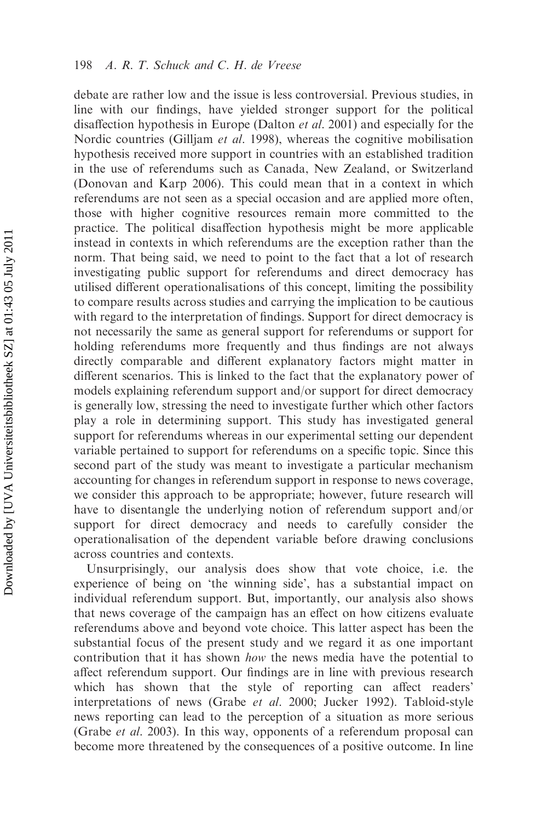debate are rather low and the issue is less controversial. Previous studies, in line with our findings, have yielded stronger support for the political disaffection hypothesis in Europe (Dalton et al. 2001) and especially for the Nordic countries (Gilljam *et al.* 1998), whereas the cognitive mobilisation hypothesis received more support in countries with an established tradition in the use of referendums such as Canada, New Zealand, or Switzerland (Donovan and Karp 2006). This could mean that in a context in which referendums are not seen as a special occasion and are applied more often, those with higher cognitive resources remain more committed to the practice. The political disaffection hypothesis might be more applicable instead in contexts in which referendums are the exception rather than the norm. That being said, we need to point to the fact that a lot of research investigating public support for referendums and direct democracy has utilised different operationalisations of this concept, limiting the possibility to compare results across studies and carrying the implication to be cautious with regard to the interpretation of findings. Support for direct democracy is not necessarily the same as general support for referendums or support for holding referendums more frequently and thus findings are not always directly comparable and different explanatory factors might matter in different scenarios. This is linked to the fact that the explanatory power of models explaining referendum support and/or support for direct democracy is generally low, stressing the need to investigate further which other factors play a role in determining support. This study has investigated general support for referendums whereas in our experimental setting our dependent variable pertained to support for referendums on a specific topic. Since this second part of the study was meant to investigate a particular mechanism accounting for changes in referendum support in response to news coverage, we consider this approach to be appropriate; however, future research will have to disentangle the underlying notion of referendum support and/or support for direct democracy and needs to carefully consider the operationalisation of the dependent variable before drawing conclusions across countries and contexts.

Unsurprisingly, our analysis does show that vote choice, i.e. the experience of being on 'the winning side', has a substantial impact on individual referendum support. But, importantly, our analysis also shows that news coverage of the campaign has an effect on how citizens evaluate referendums above and beyond vote choice. This latter aspect has been the substantial focus of the present study and we regard it as one important contribution that it has shown how the news media have the potential to affect referendum support. Our findings are in line with previous research which has shown that the style of reporting can affect readers' interpretations of news (Grabe et al. 2000; Jucker 1992). Tabloid-style news reporting can lead to the perception of a situation as more serious (Grabe et al. 2003). In this way, opponents of a referendum proposal can become more threatened by the consequences of a positive outcome. In line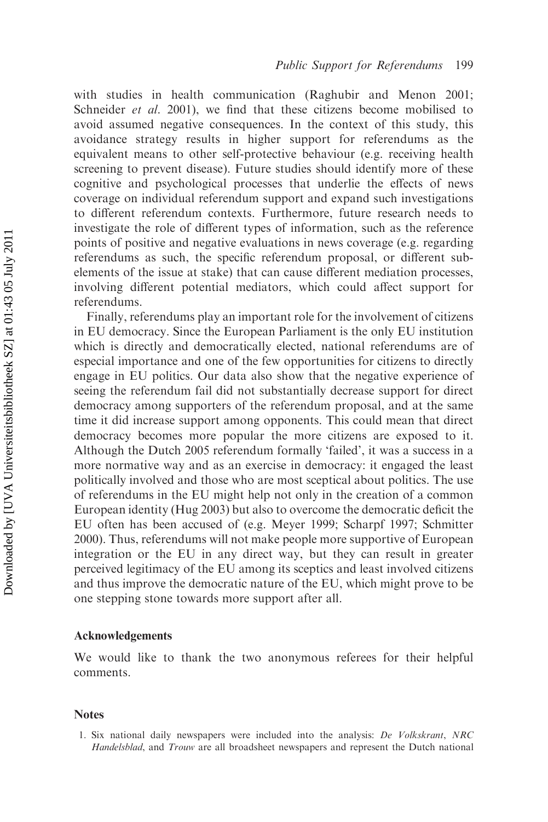with studies in health communication (Raghubir and Menon 2001; Schneider *et al.* 2001), we find that these citizens become mobilised to avoid assumed negative consequences. In the context of this study, this avoidance strategy results in higher support for referendums as the equivalent means to other self-protective behaviour (e.g. receiving health screening to prevent disease). Future studies should identify more of these cognitive and psychological processes that underlie the effects of news coverage on individual referendum support and expand such investigations to different referendum contexts. Furthermore, future research needs to investigate the role of different types of information, such as the reference points of positive and negative evaluations in news coverage (e.g. regarding referendums as such, the specific referendum proposal, or different subelements of the issue at stake) that can cause different mediation processes, involving different potential mediators, which could affect support for referendums.

Finally, referendums play an important role for the involvement of citizens in EU democracy. Since the European Parliament is the only EU institution which is directly and democratically elected, national referendums are of especial importance and one of the few opportunities for citizens to directly engage in EU politics. Our data also show that the negative experience of seeing the referendum fail did not substantially decrease support for direct democracy among supporters of the referendum proposal, and at the same time it did increase support among opponents. This could mean that direct democracy becomes more popular the more citizens are exposed to it. Although the Dutch 2005 referendum formally 'failed', it was a success in a more normative way and as an exercise in democracy: it engaged the least politically involved and those who are most sceptical about politics. The use of referendums in the EU might help not only in the creation of a common European identity (Hug 2003) but also to overcome the democratic deficit the EU often has been accused of (e.g. Meyer 1999; Scharpf 1997; Schmitter 2000). Thus, referendums will not make people more supportive of European integration or the EU in any direct way, but they can result in greater perceived legitimacy of the EU among its sceptics and least involved citizens and thus improve the democratic nature of the EU, which might prove to be one stepping stone towards more support after all.

### Acknowledgements

We would like to thank the two anonymous referees for their helpful comments.

#### Notes

<sup>1.</sup> Six national daily newspapers were included into the analysis: De Volkskrant, NRC Handelsblad, and Trouw are all broadsheet newspapers and represent the Dutch national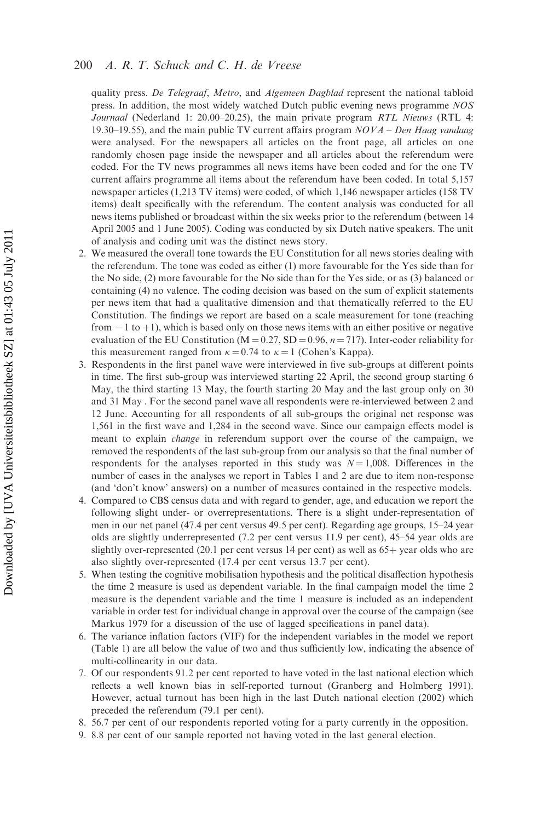## 200 A. R. T. Schuck and C. H. de Vreese

quality press. De Telegraaf, Metro, and Algemeen Dagblad represent the national tabloid press. In addition, the most widely watched Dutch public evening news programme NOS Journaal (Nederland 1: 20.00–20.25), the main private program RTL Nieuws (RTL 4: 19.30–19.55), and the main public TV current affairs program  $NOVA - Den Haag$  vandaag were analysed. For the newspapers all articles on the front page, all articles on one randomly chosen page inside the newspaper and all articles about the referendum were coded. For the TV news programmes all news items have been coded and for the one TV current affairs programme all items about the referendum have been coded. In total 5,157 newspaper articles (1,213 TV items) were coded, of which 1,146 newspaper articles (158 TV items) dealt specifically with the referendum. The content analysis was conducted for all news items published or broadcast within the six weeks prior to the referendum (between 14 April 2005 and 1 June 2005). Coding was conducted by six Dutch native speakers. The unit of analysis and coding unit was the distinct news story.

- 2. We measured the overall tone towards the EU Constitution for all news stories dealing with the referendum. The tone was coded as either (1) more favourable for the Yes side than for the No side, (2) more favourable for the No side than for the Yes side, or as (3) balanced or containing (4) no valence. The coding decision was based on the sum of explicit statements per news item that had a qualitative dimension and that thematically referred to the EU Constitution. The findings we report are based on a scale measurement for tone (reaching from  $-1$  to  $+1$ ), which is based only on those news items with an either positive or negative evaluation of the EU Constitution ( $M = 0.27$ , SD = 0.96,  $n = 717$ ). Inter-coder reliability for this measurement ranged from  $\kappa = 0.74$  to  $\kappa = 1$  (Cohen's Kappa).
- 3. Respondents in the first panel wave were interviewed in five sub-groups at different points in time. The first sub-group was interviewed starting 22 April, the second group starting 6 May, the third starting 13 May, the fourth starting 20 May and the last group only on 30 and 31 May . For the second panel wave all respondents were re-interviewed between 2 and 12 June. Accounting for all respondents of all sub-groups the original net response was 1,561 in the first wave and 1,284 in the second wave. Since our campaign effects model is meant to explain change in referendum support over the course of the campaign, we removed the respondents of the last sub-group from our analysis so that the final number of respondents for the analyses reported in this study was  $N = 1,008$ . Differences in the number of cases in the analyses we report in Tables 1 and 2 are due to item non-response (and 'don't know' answers) on a number of measures contained in the respective models.
- 4. Compared to CBS census data and with regard to gender, age, and education we report the following slight under- or overrepresentations. There is a slight under-representation of men in our net panel (47.4 per cent versus 49.5 per cent). Regarding age groups, 15–24 year olds are slightly underrepresented (7.2 per cent versus 11.9 per cent), 45–54 year olds are slightly over-represented  $(20.1$  per cent versus 14 per cent) as well as  $65 +$  year olds who are also slightly over-represented (17.4 per cent versus 13.7 per cent).
- 5. When testing the cognitive mobilisation hypothesis and the political disaffection hypothesis the time 2 measure is used as dependent variable. In the final campaign model the time 2 measure is the dependent variable and the time 1 measure is included as an independent variable in order test for individual change in approval over the course of the campaign (see Markus 1979 for a discussion of the use of lagged specifications in panel data).
- 6. The variance inflation factors (VIF) for the independent variables in the model we report (Table 1) are all below the value of two and thus sufficiently low, indicating the absence of multi-collinearity in our data.
- 7. Of our respondents 91.2 per cent reported to have voted in the last national election which reflects a well known bias in self-reported turnout (Granberg and Holmberg 1991). However, actual turnout has been high in the last Dutch national election (2002) which preceded the referendum (79.1 per cent).
- 8. 56.7 per cent of our respondents reported voting for a party currently in the opposition.
- 9. 8.8 per cent of our sample reported not having voted in the last general election.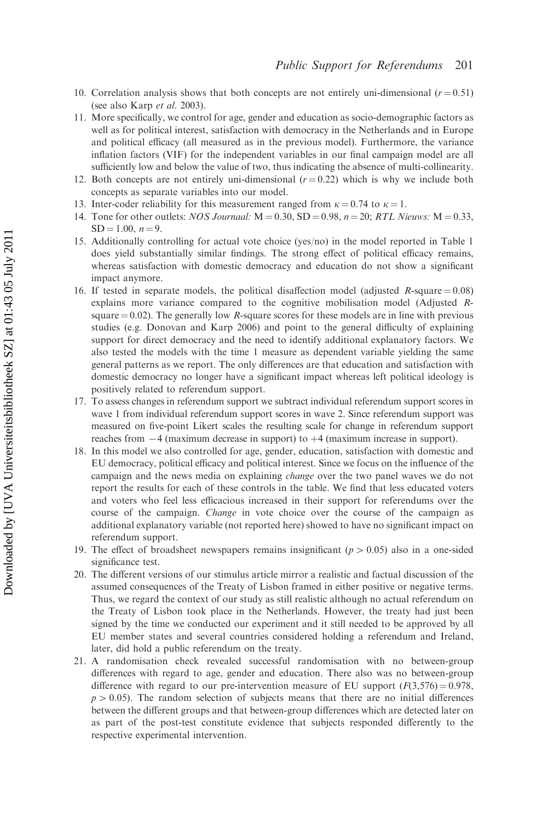- 10. Correlation analysis shows that both concepts are not entirely uni-dimensional  $(r = 0.51)$ (see also Karp et al. 2003).
- 11. More specifically, we control for age, gender and education as socio-demographic factors as well as for political interest, satisfaction with democracy in the Netherlands and in Europe and political efficacy (all measured as in the previous model). Furthermore, the variance inflation factors (VIF) for the independent variables in our final campaign model are all sufficiently low and below the value of two, thus indicating the absence of multi-collinearity.
- 12. Both concepts are not entirely uni-dimensional  $(r = 0.22)$  which is why we include both concepts as separate variables into our model.
- 13. Inter-coder reliability for this measurement ranged from  $\kappa = 0.74$  to  $\kappa = 1$ .
- 14. Tone for other outlets: NOS Journaal:  $M = 0.30$ , SD = 0.98, n = 20; RTL Nieuws: M = 0.33,  $SD = 1.00, n = 9.$
- 15. Additionally controlling for actual vote choice (yes/no) in the model reported in Table 1 does yield substantially similar findings. The strong effect of political efficacy remains, whereas satisfaction with domestic democracy and education do not show a significant impact anymore.
- 16. If tested in separate models, the political disaffection model (adjusted R-square  $= 0.08$ ) explains more variance compared to the cognitive mobilisation model (Adjusted Rsquare  $= 0.02$ ). The generally low R-square scores for these models are in line with previous studies (e.g. Donovan and Karp 2006) and point to the general difficulty of explaining support for direct democracy and the need to identify additional explanatory factors. We also tested the models with the time 1 measure as dependent variable yielding the same general patterns as we report. The only differences are that education and satisfaction with domestic democracy no longer have a significant impact whereas left political ideology is positively related to referendum support.
- 17. To assess changes in referendum support we subtract individual referendum support scores in wave 1 from individual referendum support scores in wave 2. Since referendum support was measured on five-point Likert scales the resulting scale for change in referendum support reaches from  $-4$  (maximum decrease in support) to  $+4$  (maximum increase in support).
- 18. In this model we also controlled for age, gender, education, satisfaction with domestic and EU democracy, political efficacy and political interest. Since we focus on the influence of the campaign and the news media on explaining change over the two panel waves we do not report the results for each of these controls in the table. We find that less educated voters and voters who feel less efficacious increased in their support for referendums over the course of the campaign. *Change* in vote choice over the course of the campaign as additional explanatory variable (not reported here) showed to have no significant impact on referendum support.
- 19. The effect of broadsheet newspapers remains insignificant ( $p > 0.05$ ) also in a one-sided significance test.
- 20. The different versions of our stimulus article mirror a realistic and factual discussion of the assumed consequences of the Treaty of Lisbon framed in either positive or negative terms. Thus, we regard the context of our study as still realistic although no actual referendum on the Treaty of Lisbon took place in the Netherlands. However, the treaty had just been signed by the time we conducted our experiment and it still needed to be approved by all EU member states and several countries considered holding a referendum and Ireland, later, did hold a public referendum on the treaty.
- 21. A randomisation check revealed successful randomisation with no between-group differences with regard to age, gender and education. There also was no between-group difference with regard to our pre-intervention measure of EU support  $(F(3,576) = 0.978$ ,  $p > 0.05$ ). The random selection of subjects means that there are no initial differences between the different groups and that between-group differences which are detected later on as part of the post-test constitute evidence that subjects responded differently to the respective experimental intervention.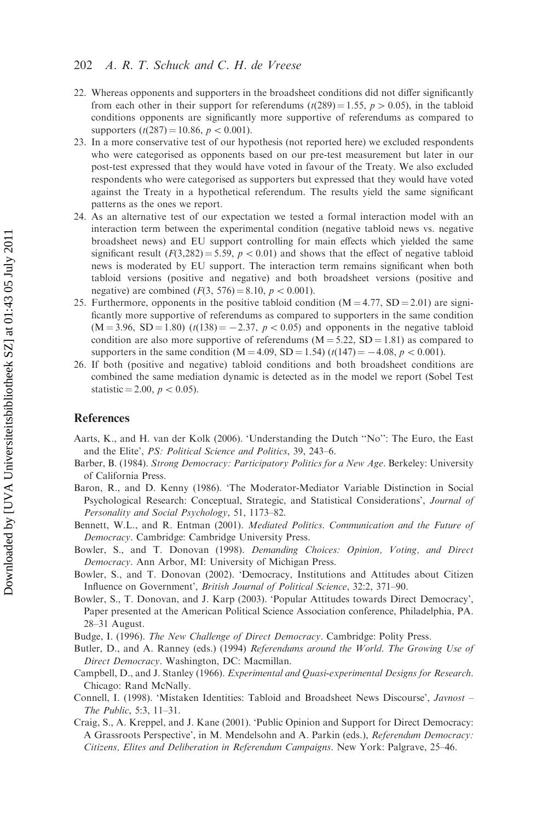- 22. Whereas opponents and supporters in the broadsheet conditions did not differ significantly from each other in their support for referendums  $(t(289) = 1.55, p > 0.05)$ , in the tabloid conditions opponents are significantly more supportive of referendums as compared to supporters  $(t(287) = 10.86, p < 0.001)$ .
- 23. In a more conservative test of our hypothesis (not reported here) we excluded respondents who were categorised as opponents based on our pre-test measurement but later in our post-test expressed that they would have voted in favour of the Treaty. We also excluded respondents who were categorised as supporters but expressed that they would have voted against the Treaty in a hypothetical referendum. The results yield the same significant patterns as the ones we report.
- 24. As an alternative test of our expectation we tested a formal interaction model with an interaction term between the experimental condition (negative tabloid news vs. negative broadsheet news) and EU support controlling for main effects which yielded the same significant result  $(F(3,282) = 5.59, p < 0.01)$  and shows that the effect of negative tabloid news is moderated by EU support. The interaction term remains significant when both tabloid versions (positive and negative) and both broadsheet versions (positive and negative) are combined  $(F(3, 576) = 8.10, p < 0.001)$ .
- 25. Furthermore, opponents in the positive tabloid condition  $(M = 4.77, SD = 2.01)$  are significantly more supportive of referendums as compared to supporters in the same condition  $(M = 3.96, SD = 1.80)$   $(t(138) = -2.37, p < 0.05)$  and opponents in the negative tabloid condition are also more supportive of referendums  $(M = 5.22, SD = 1.81)$  as compared to supporters in the same condition  $(M = 4.09, SD = 1.54)$  (t(147) = -4.08, p < 0.001).
- 26. If both (positive and negative) tabloid conditions and both broadsheet conditions are combined the same mediation dynamic is detected as in the model we report (Sobel Test statistic = 2.00,  $p < 0.05$ ).

#### References

- Aarts, K., and H. van der Kolk (2006). 'Understanding the Dutch ''No'': The Euro, the East and the Elite', PS: Political Science and Politics, 39, 243–6.
- Barber, B. (1984). Strong Democracy: Participatory Politics for a New Age. Berkeley: University of California Press.
- Baron, R., and D. Kenny (1986). 'The Moderator-Mediator Variable Distinction in Social Psychological Research: Conceptual, Strategic, and Statistical Considerations', Journal of Personality and Social Psychology, 51, 1173–82.
- Bennett, W.L., and R. Entman (2001). Mediated Politics. Communication and the Future of Democracy. Cambridge: Cambridge University Press.
- Bowler, S., and T. Donovan (1998). Demanding Choices: Opinion, Voting, and Direct Democracy. Ann Arbor, MI: University of Michigan Press.
- Bowler, S., and T. Donovan (2002). 'Democracy, Institutions and Attitudes about Citizen Influence on Government', British Journal of Political Science, 32:2, 371–90.
- Bowler, S., T. Donovan, and J. Karp (2003). 'Popular Attitudes towards Direct Democracy', Paper presented at the American Political Science Association conference, Philadelphia, PA. 28–31 August.
- Budge, I. (1996). The New Challenge of Direct Democracy. Cambridge: Polity Press.
- Butler, D., and A. Ranney (eds.) (1994) Referendums around the World. The Growing Use of Direct Democracy. Washington, DC: Macmillan.
- Campbell, D., and J. Stanley (1966). Experimental and Quasi-experimental Designs for Research. Chicago: Rand McNally.
- Connell, I. (1998). 'Mistaken Identities: Tabloid and Broadsheet News Discourse', Javnost The Public, 5:3, 11–31.
- Craig, S., A. Kreppel, and J. Kane (2001). 'Public Opinion and Support for Direct Democracy: A Grassroots Perspective', in M. Mendelsohn and A. Parkin (eds.), Referendum Democracy: Citizens, Elites and Deliberation in Referendum Campaigns. New York: Palgrave, 25–46.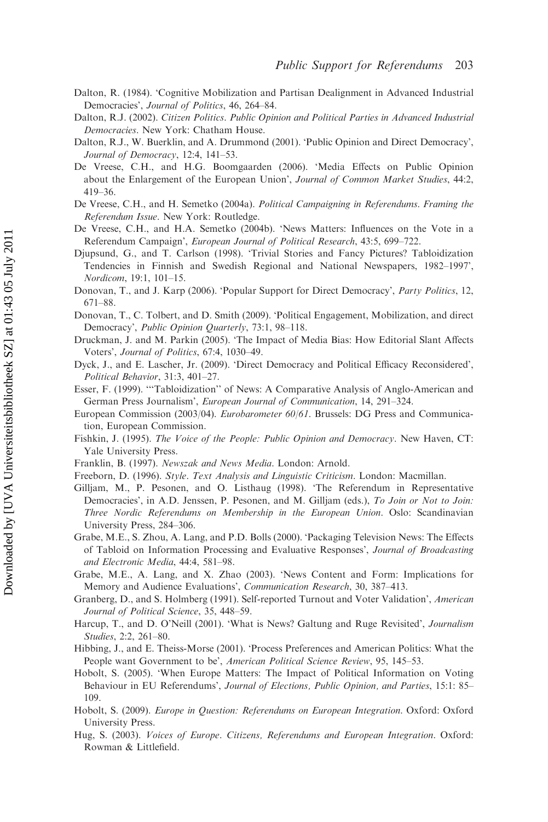- Dalton, R. (1984). 'Cognitive Mobilization and Partisan Dealignment in Advanced Industrial Democracies', Journal of Politics, 46, 264–84.
- Dalton, R.J. (2002). Citizen Politics. Public Opinion and Political Parties in Advanced Industrial Democracies. New York: Chatham House.
- Dalton, R.J., W. Buerklin, and A. Drummond (2001). 'Public Opinion and Direct Democracy', Journal of Democracy, 12:4, 141–53.
- De Vreese, C.H., and H.G. Boomgaarden (2006). 'Media Effects on Public Opinion about the Enlargement of the European Union', Journal of Common Market Studies, 44:2, 419–36.
- De Vreese, C.H., and H. Semetko (2004a). Political Campaigning in Referendums. Framing the Referendum Issue. New York: Routledge.
- De Vreese, C.H., and H.A. Semetko (2004b). 'News Matters: Influences on the Vote in a Referendum Campaign', European Journal of Political Research, 43:5, 699–722.
- Djupsund, G., and T. Carlson (1998). 'Trivial Stories and Fancy Pictures? Tabloidization Tendencies in Finnish and Swedish Regional and National Newspapers, 1982–1997', Nordicom, 19:1, 101–15.
- Donovan, T., and J. Karp (2006). 'Popular Support for Direct Democracy', Party Politics, 12, 671–88.
- Donovan, T., C. Tolbert, and D. Smith (2009). 'Political Engagement, Mobilization, and direct Democracy', Public Opinion Quarterly, 73:1, 98–118.
- Druckman, J. and M. Parkin (2005). 'The Impact of Media Bias: How Editorial Slant Affects Voters', Journal of Politics, 67:4, 1030–49.
- Dyck, J., and E. Lascher, Jr. (2009). 'Direct Democracy and Political Efficacy Reconsidered', Political Behavior, 31:3, 401–27.
- Esser, F. (1999). '''Tabloidization'' of News: A Comparative Analysis of Anglo-American and German Press Journalism', European Journal of Communication, 14, 291–324.
- European Commission (2003/04). Eurobarometer 60/61. Brussels: DG Press and Communication, European Commission.
- Fishkin, J. (1995). The Voice of the People: Public Opinion and Democracy. New Haven, CT: Yale University Press.
- Franklin, B. (1997). Newszak and News Media. London: Arnold.
- Freeborn, D. (1996). Style. Text Analysis and Linguistic Criticism. London: Macmillan.
- Gilljam, M., P. Pesonen, and O. Listhaug (1998). 'The Referendum in Representative Democracies', in A.D. Jenssen, P. Pesonen, and M. Gilljam (eds.), To Join or Not to Join: Three Nordic Referendums on Membership in the European Union. Oslo: Scandinavian University Press, 284–306.
- Grabe, M.E., S. Zhou, A. Lang, and P.D. Bolls (2000). 'Packaging Television News: The Effects of Tabloid on Information Processing and Evaluative Responses', Journal of Broadcasting and Electronic Media, 44:4, 581–98.
- Grabe, M.E., A. Lang, and X. Zhao (2003). 'News Content and Form: Implications for Memory and Audience Evaluations', Communication Research, 30, 387–413.
- Granberg, D., and S. Holmberg (1991). Self-reported Turnout and Voter Validation', American Journal of Political Science, 35, 448–59.
- Harcup, T., and D. O'Neill (2001). 'What is News? Galtung and Ruge Revisited', Journalism Studies, 2:2, 261–80.
- Hibbing, J., and E. Theiss-Morse (2001). 'Process Preferences and American Politics: What the People want Government to be', American Political Science Review, 95, 145–53.
- Hobolt, S. (2005). 'When Europe Matters: The Impact of Political Information on Voting Behaviour in EU Referendums', Journal of Elections, Public Opinion, and Parties, 15:1: 85-109.
- Hobolt, S. (2009). Europe in Question: Referendums on European Integration. Oxford: Oxford University Press.
- Hug, S. (2003). Voices of Europe. Citizens, Referendums and European Integration. Oxford: Rowman & Littlefield.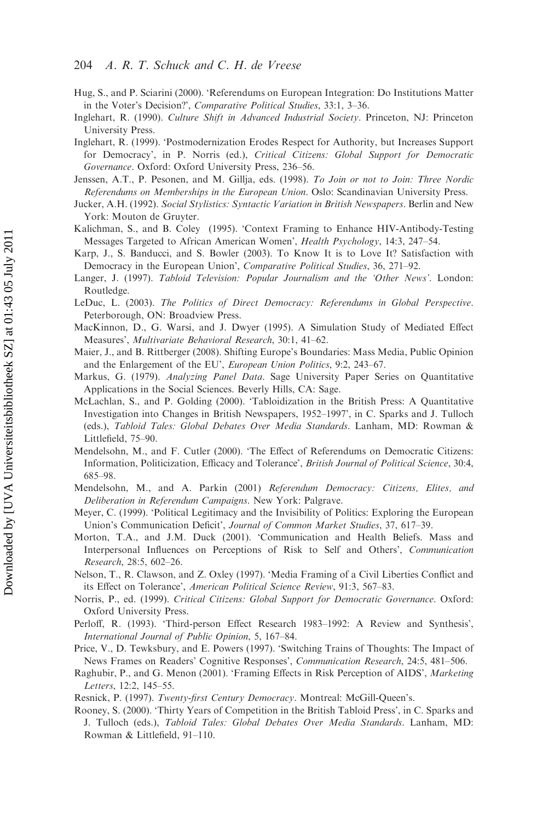- Hug, S., and P. Sciarini (2000). 'Referendums on European Integration: Do Institutions Matter in the Voter's Decision?', Comparative Political Studies, 33:1, 3–36.
- Inglehart, R. (1990). Culture Shift in Advanced Industrial Society. Princeton, NJ: Princeton University Press.
- Inglehart, R. (1999). 'Postmodernization Erodes Respect for Authority, but Increases Support for Democracy', in P. Norris (ed.), Critical Citizens: Global Support for Democratic Governance. Oxford: Oxford University Press, 236–56.
- Jenssen, A.T., P. Pesonen, and M. Gillja, eds. (1998). To Join or not to Join: Three Nordic Referendums on Memberships in the European Union. Oslo: Scandinavian University Press.
- Jucker, A.H. (1992). Social Stylistics: Syntactic Variation in British Newspapers. Berlin and New York: Mouton de Gruyter.
- Kalichman, S., and B. Coley (1995). 'Context Framing to Enhance HIV-Antibody-Testing Messages Targeted to African American Women', Health Psychology, 14:3, 247–54.
- Karp, J., S. Banducci, and S. Bowler (2003). To Know It is to Love It? Satisfaction with Democracy in the European Union', Comparative Political Studies, 36, 271–92.
- Langer, J. (1997). Tabloid Television: Popular Journalism and the 'Other News'. London: Routledge.
- LeDuc, L. (2003). The Politics of Direct Democracy: Referendums in Global Perspective. Peterborough, ON: Broadview Press.
- MacKinnon, D., G. Warsi, and J. Dwyer (1995). A Simulation Study of Mediated Effect Measures', Multivariate Behavioral Research, 30:1, 41–62.
- Maier, J., and B. Rittberger (2008). Shifting Europe's Boundaries: Mass Media, Public Opinion and the Enlargement of the EU', European Union Politics, 9:2, 243–67.
- Markus, G. (1979). Analyzing Panel Data. Sage University Paper Series on Quantitative Applications in the Social Sciences. Beverly Hills, CA: Sage.
- McLachlan, S., and P. Golding (2000). 'Tabloidization in the British Press: A Quantitative Investigation into Changes in British Newspapers, 1952–1997', in C. Sparks and J. Tulloch (eds.), Tabloid Tales: Global Debates Over Media Standards. Lanham, MD: Rowman & Littlefield, 75–90.
- Mendelsohn, M., and F. Cutler (2000). 'The Effect of Referendums on Democratic Citizens: Information, Politicization, Efficacy and Tolerance', British Journal of Political Science, 30:4, 685–98.
- Mendelsohn, M., and A. Parkin (2001) Referendum Democracy: Citizens, Elites, and Deliberation in Referendum Campaigns. New York: Palgrave.
- Meyer, C. (1999). 'Political Legitimacy and the Invisibility of Politics: Exploring the European Union's Communication Deficit', Journal of Common Market Studies, 37, 617–39.
- Morton, T.A., and J.M. Duck (2001). 'Communication and Health Beliefs. Mass and Interpersonal Influences on Perceptions of Risk to Self and Others', Communication Research, 28:5, 602–26.
- Nelson, T., R. Clawson, and Z. Oxley (1997). 'Media Framing of a Civil Liberties Conflict and its Effect on Tolerance', American Political Science Review, 91:3, 567–83.
- Norris, P., ed. (1999). Critical Citizens: Global Support for Democratic Governance. Oxford: Oxford University Press.
- Perloff, R. (1993). 'Third-person Effect Research 1983–1992: A Review and Synthesis', International Journal of Public Opinion, 5, 167–84.
- Price, V., D. Tewksbury, and E. Powers (1997). 'Switching Trains of Thoughts: The Impact of News Frames on Readers' Cognitive Responses', Communication Research, 24:5, 481–506.
- Raghubir, P., and G. Menon (2001). 'Framing Effects in Risk Perception of AIDS', Marketing Letters, 12:2, 145–55.
- Resnick, P. (1997). Twenty-first Century Democracy. Montreal: McGill-Queen's.
- Rooney, S. (2000). 'Thirty Years of Competition in the British Tabloid Press', in C. Sparks and J. Tulloch (eds.), Tabloid Tales: Global Debates Over Media Standards. Lanham, MD: Rowman & Littlefield, 91–110.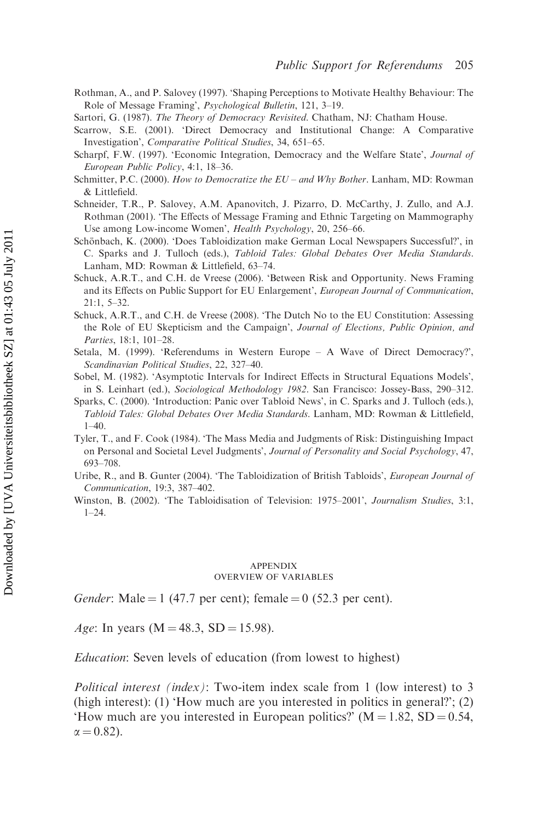- Rothman, A., and P. Salovey (1997). 'Shaping Perceptions to Motivate Healthy Behaviour: The Role of Message Framing', Psychological Bulletin, 121, 3–19.
- Sartori, G. (1987). The Theory of Democracy Revisited. Chatham, NJ: Chatham House.
- Scarrow, S.E. (2001). 'Direct Democracy and Institutional Change: A Comparative Investigation', Comparative Political Studies, 34, 651–65.
- Scharpf, F.W. (1997). 'Economic Integration, Democracy and the Welfare State', Journal of European Public Policy, 4:1, 18–36.
- Schmitter, P.C. (2000). How to Democratize the  $EU-$  and Why Bother. Lanham, MD: Rowman & Littlefield.
- Schneider, T.R., P. Salovey, A.M. Apanovitch, J. Pizarro, D. McCarthy, J. Zullo, and A.J. Rothman (2001). 'The Effects of Message Framing and Ethnic Targeting on Mammography Use among Low-income Women', Health Psychology, 20, 256–66.
- Schönbach, K. (2000). 'Does Tabloidization make German Local Newspapers Successful?', in C. Sparks and J. Tulloch (eds.), Tabloid Tales: Global Debates Over Media Standards. Lanham, MD: Rowman & Littlefield, 63–74.
- Schuck, A.R.T., and C.H. de Vreese (2006). 'Between Risk and Opportunity. News Framing and its Effects on Public Support for EU Enlargement', European Journal of Communication, 21:1, 5–32.
- Schuck, A.R.T., and C.H. de Vreese (2008). 'The Dutch No to the EU Constitution: Assessing the Role of EU Skepticism and the Campaign', Journal of Elections, Public Opinion, and Parties, 18:1, 101–28.
- Setala, M. (1999). 'Referendums in Western Europe A Wave of Direct Democracy?', Scandinavian Political Studies, 22, 327–40.
- Sobel, M. (1982). 'Asymptotic Intervals for Indirect Effects in Structural Equations Models', in S. Leinhart (ed.), Sociological Methodology 1982. San Francisco: Jossey-Bass, 290–312.
- Sparks, C. (2000). 'Introduction: Panic over Tabloid News', in C. Sparks and J. Tulloch (eds.), Tabloid Tales: Global Debates Over Media Standards. Lanham, MD: Rowman & Littlefield,  $1-40.$
- Tyler, T., and F. Cook (1984). 'The Mass Media and Judgments of Risk: Distinguishing Impact on Personal and Societal Level Judgments', Journal of Personality and Social Psychology, 47, 693–708.
- Uribe, R., and B. Gunter (2004). 'The Tabloidization of British Tabloids', European Journal of Communication, 19:3, 387–402.
- Winston, B. (2002). 'The Tabloidisation of Television: 1975–2001', Journalism Studies, 3:1, 1–24.

#### APPENDIX OVERVIEW OF VARIABLES

Gender: Male = 1 (47.7 per cent); female = 0 (52.3 per cent).

*Age*: In years (M = 48.3, SD = 15.98).

Education: Seven levels of education (from lowest to highest)

Political interest (index): Two-item index scale from 1 (low interest) to 3 (high interest): (1) 'How much are you interested in politics in general?'; (2) 'How much are you interested in European politics?' ( $M = 1.82$ , SD = 0.54,  $\alpha = 0.82$ ).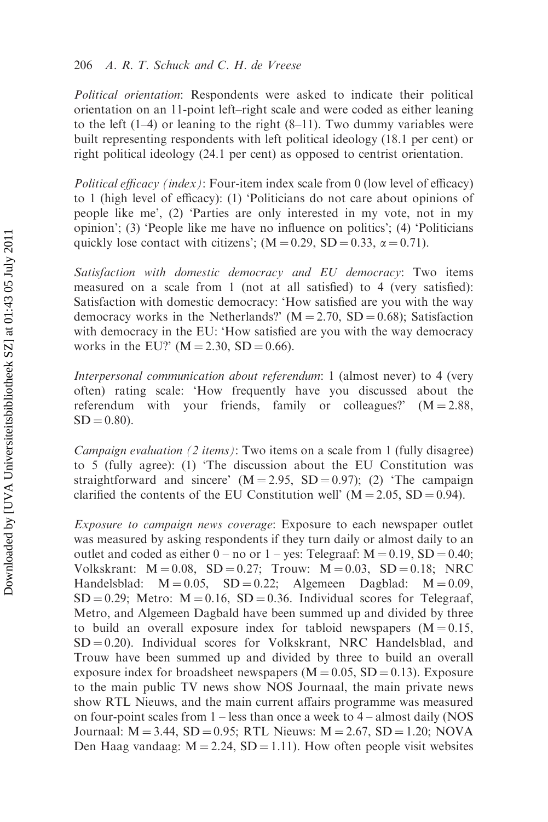Political orientation: Respondents were asked to indicate their political orientation on an 11-point left–right scale and were coded as either leaning to the left  $(1-4)$  or leaning to the right  $(8-11)$ . Two dummy variables were built representing respondents with left political ideology (18.1 per cent) or right political ideology (24.1 per cent) as opposed to centrist orientation.

*Political efficacy (index)*: Four-item index scale from 0 (low level of efficacy) to 1 (high level of efficacy): (1) 'Politicians do not care about opinions of people like me', (2) 'Parties are only interested in my vote, not in my opinion'; (3) 'People like me have no influence on politics'; (4) 'Politicians quickly lose contact with citizens'; (M = 0.29, SD = 0.33,  $\alpha$  = 0.71).

Satisfaction with domestic democracy and EU democracy: Two items measured on a scale from 1 (not at all satisfied) to 4 (very satisfied): Satisfaction with domestic democracy: 'How satisfied are you with the way democracy works in the Netherlands?' ( $M = 2.70$ , SD = 0.68); Satisfaction with democracy in the EU: 'How satisfied are you with the way democracy works in the EU?' ( $M = 2.30$ , SD = 0.66).

Interpersonal communication about referendum: 1 (almost never) to 4 (very often) rating scale: 'How frequently have you discussed about the referendum with your friends, family or colleagues?'  $(M = 2.88$ ,  $SD = 0.80$ ).

Campaign evaluation (2 items): Two items on a scale from 1 (fully disagree) to 5 (fully agree): (1) 'The discussion about the EU Constitution was straightforward and sincere'  $(M = 2.95, SD = 0.97)$ ; (2) The campaign clarified the contents of the EU Constitution well'  $(M = 2.05, SD = 0.94)$ .

Exposure to campaign news coverage: Exposure to each newspaper outlet was measured by asking respondents if they turn daily or almost daily to an outlet and coded as either  $0 - no$  or  $1 - yes$ : Telegraaf:  $M = 0.19$ ,  $SD = 0.40$ ; Volkskrant:  $M = 0.08$ ,  $SD = 0.27$ ; Trouw:  $M = 0.03$ ,  $SD = 0.18$ ; NRC Handelsblad:  $M = 0.05$ ,  $SD = 0.22$ ; Algemeen Dagblad:  $M = 0.09$ ,  $SD = 0.29$ ; Metro:  $M = 0.16$ ,  $SD = 0.36$ . Individual scores for Telegraaf, Metro, and Algemeen Dagbald have been summed up and divided by three to build an overall exposure index for tabloid newspapers  $(M = 0.15,$  $SD = 0.20$ ). Individual scores for Volkskrant, NRC Handelsblad, and Trouw have been summed up and divided by three to build an overall exposure index for broadsheet newspapers  $(M = 0.05, SD = 0.13)$ . Exposure to the main public TV news show NOS Journaal, the main private news show RTL Nieuws, and the main current affairs programme was measured on four-point scales from  $1$  – less than once a week to  $4$  – almost daily (NOS) Journaal:  $M = 3.44$ ,  $SD = 0.95$ ; RTL Nieuws:  $M = 2.67$ ,  $SD = 1.20$ ; NOVA Den Haag vandaag:  $M = 2.24$ ,  $SD = 1.11$ . How often people visit websites